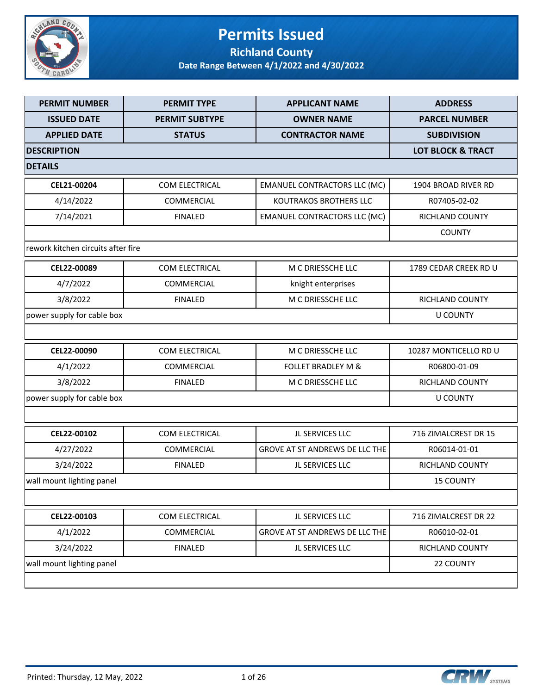

### **Permits Issued Richland County**

| <b>PERMIT NUMBER</b>               | <b>PERMIT TYPE</b>    | <b>APPLICANT NAME</b>               | <b>ADDRESS</b>               |
|------------------------------------|-----------------------|-------------------------------------|------------------------------|
| <b>ISSUED DATE</b>                 | <b>PERMIT SUBTYPE</b> | <b>OWNER NAME</b>                   | <b>PARCEL NUMBER</b>         |
| <b>APPLIED DATE</b>                | <b>STATUS</b>         | <b>CONTRACTOR NAME</b>              | <b>SUBDIVISION</b>           |
| <b>DESCRIPTION</b>                 |                       |                                     | <b>LOT BLOCK &amp; TRACT</b> |
| <b>DETAILS</b>                     |                       |                                     |                              |
| CEL21-00204                        | COM ELECTRICAL        | <b>EMANUEL CONTRACTORS LLC (MC)</b> | 1904 BROAD RIVER RD          |
| 4/14/2022                          | <b>COMMERCIAL</b>     | <b>KOUTRAKOS BROTHERS LLC</b>       | R07405-02-02                 |
| 7/14/2021                          | <b>FINALED</b>        | <b>EMANUEL CONTRACTORS LLC (MC)</b> | <b>RICHLAND COUNTY</b>       |
|                                    |                       |                                     | <b>COUNTY</b>                |
| rework kitchen circuits after fire |                       |                                     |                              |
| CEL22-00089                        | COM ELECTRICAL        | M C DRIESSCHE LLC                   | 1789 CEDAR CREEK RD U        |
| 4/7/2022                           | COMMERCIAL            | knight enterprises                  |                              |
| 3/8/2022                           | <b>FINALED</b>        | M C DRIESSCHE LLC                   | RICHLAND COUNTY              |
| power supply for cable box         |                       |                                     | <b>U COUNTY</b>              |
|                                    |                       |                                     |                              |
| CEL22-00090                        | COM ELECTRICAL        | M C DRIESSCHE LLC                   | 10287 MONTICELLO RD U        |
| 4/1/2022                           | COMMERCIAL            | <b>FOLLET BRADLEY M &amp;</b>       | R06800-01-09                 |
| 3/8/2022                           | <b>FINALED</b>        | M C DRIESSCHE LLC                   | <b>RICHLAND COUNTY</b>       |
| power supply for cable box         |                       |                                     | <b>U COUNTY</b>              |
|                                    |                       |                                     |                              |
| CEL22-00102                        | COM ELECTRICAL        | JL SERVICES LLC                     | 716 ZIMALCREST DR 15         |
| 4/27/2022                          | <b>COMMERCIAL</b>     | GROVE AT ST ANDREWS DE LLC THE      | R06014-01-01                 |
| 3/24/2022                          | <b>FINALED</b>        | JL SERVICES LLC                     | RICHLAND COUNTY              |
| wall mount lighting panel          |                       |                                     | <b>15 COUNTY</b>             |
|                                    |                       |                                     |                              |
| CEL22-00103                        | COM ELECTRICAL        | JL SERVICES LLC                     | 716 ZIMALCREST DR 22         |
| 4/1/2022                           | COMMERCIAL            | GROVE AT ST ANDREWS DE LLC THE      | R06010-02-01                 |
| 3/24/2022                          | <b>FINALED</b>        | JL SERVICES LLC                     | RICHLAND COUNTY              |
| wall mount lighting panel          |                       |                                     | 22 COUNTY                    |
|                                    |                       |                                     |                              |

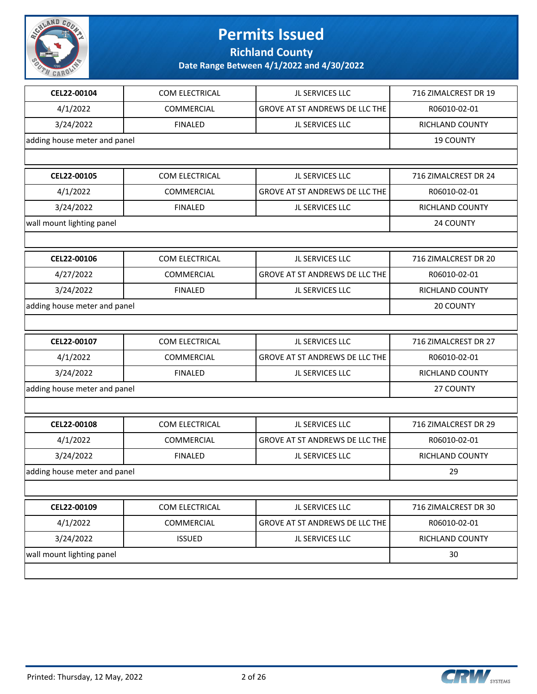

**Richland County**

| CEL22-00104                  | COM ELECTRICAL | JL SERVICES LLC                       | 716 ZIMALCREST DR 19 |
|------------------------------|----------------|---------------------------------------|----------------------|
| 4/1/2022                     | COMMERCIAL     | GROVE AT ST ANDREWS DE LLC THE        | R06010-02-01         |
| 3/24/2022                    | <b>FINALED</b> | JL SERVICES LLC                       | RICHLAND COUNTY      |
| adding house meter and panel |                |                                       | <b>19 COUNTY</b>     |
|                              |                |                                       |                      |
| CEL22-00105                  | COM ELECTRICAL | JL SERVICES LLC                       | 716 ZIMALCREST DR 24 |
| 4/1/2022                     | COMMERCIAL     | GROVE AT ST ANDREWS DE LLC THE        | R06010-02-01         |
| 3/24/2022                    | <b>FINALED</b> | JL SERVICES LLC                       | RICHLAND COUNTY      |
| wall mount lighting panel    |                |                                       | 24 COUNTY            |
|                              |                |                                       |                      |
| CEL22-00106                  | COM ELECTRICAL | JL SERVICES LLC                       | 716 ZIMALCREST DR 20 |
| 4/27/2022                    | COMMERCIAL     | <b>GROVE AT ST ANDREWS DE LLC THE</b> | R06010-02-01         |
| 3/24/2022                    | <b>FINALED</b> | JL SERVICES LLC                       | RICHLAND COUNTY      |
| adding house meter and panel |                |                                       | 20 COUNTY            |
|                              |                |                                       |                      |
| CEL22-00107                  | COM ELECTRICAL | JL SERVICES LLC                       | 716 ZIMALCREST DR 27 |
| 4/1/2022                     | COMMERCIAL     | GROVE AT ST ANDREWS DE LLC THE        | R06010-02-01         |
| 3/24/2022                    | <b>FINALED</b> | JL SERVICES LLC                       | RICHLAND COUNTY      |
| adding house meter and panel |                |                                       | 27 COUNTY            |
|                              |                |                                       |                      |
| CEL22-00108                  | COM ELECTRICAL | JL SERVICES LLC                       | 716 ZIMALCREST DR 29 |
| 4/1/2022                     | COMMERCIAL     | GROVE AT ST ANDREWS DE LLC THE        | R06010-02-01         |
| 3/24/2022                    | <b>FINALED</b> | JL SERVICES LLC                       | RICHLAND COUNTY      |
| adding house meter and panel |                |                                       | 29                   |
|                              |                |                                       |                      |
| CEL22-00109                  | COM ELECTRICAL | JL SERVICES LLC                       | 716 ZIMALCREST DR 30 |
| 4/1/2022                     | COMMERCIAL     | GROVE AT ST ANDREWS DE LLC THE        | R06010-02-01         |
| 3/24/2022                    | <b>ISSUED</b>  | JL SERVICES LLC                       | RICHLAND COUNTY      |
| wall mount lighting panel    |                |                                       | 30                   |
|                              |                |                                       |                      |
|                              |                |                                       |                      |

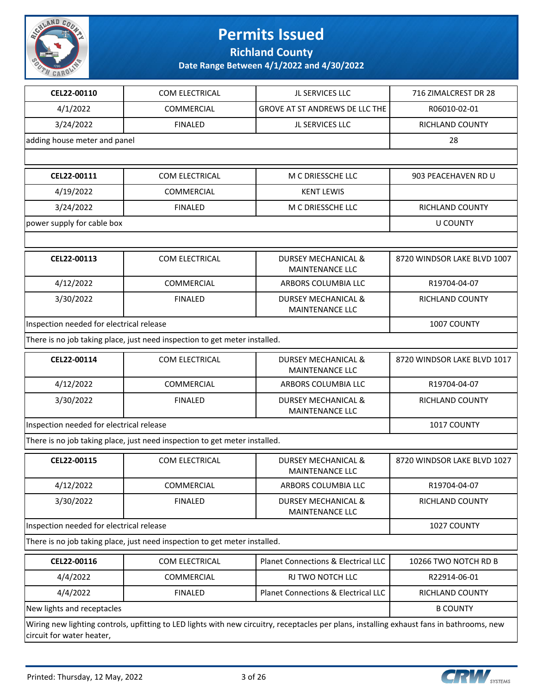

**Richland County**

| CEL22-00110                              | COM ELECTRICAL                                                             | JL SERVICES LLC                                                                                                                            | 716 ZIMALCREST DR 28        |
|------------------------------------------|----------------------------------------------------------------------------|--------------------------------------------------------------------------------------------------------------------------------------------|-----------------------------|
| 4/1/2022                                 | COMMERCIAL                                                                 | GROVE AT ST ANDREWS DE LLC THE                                                                                                             | R06010-02-01                |
| 3/24/2022                                | <b>FINALED</b>                                                             | JL SERVICES LLC                                                                                                                            | <b>RICHLAND COUNTY</b>      |
| adding house meter and panel             |                                                                            |                                                                                                                                            | 28                          |
|                                          |                                                                            |                                                                                                                                            |                             |
| CEL22-00111                              | COM ELECTRICAL                                                             | M C DRIESSCHE LLC                                                                                                                          | 903 PEACEHAVEN RD U         |
| 4/19/2022                                | COMMERCIAL                                                                 | <b>KENT LEWIS</b>                                                                                                                          |                             |
| 3/24/2022                                | <b>FINALED</b>                                                             | M C DRIESSCHE LLC                                                                                                                          | <b>RICHLAND COUNTY</b>      |
| power supply for cable box               |                                                                            |                                                                                                                                            | <b>U COUNTY</b>             |
|                                          |                                                                            |                                                                                                                                            |                             |
| CEL22-00113                              | COM ELECTRICAL                                                             | <b>DURSEY MECHANICAL &amp;</b><br><b>MAINTENANCE LLC</b>                                                                                   | 8720 WINDSOR LAKE BLVD 1007 |
| 4/12/2022                                | COMMERCIAL                                                                 | ARBORS COLUMBIA LLC                                                                                                                        | R19704-04-07                |
| 3/30/2022                                | <b>FINALED</b>                                                             | <b>DURSEY MECHANICAL &amp;</b><br><b>MAINTENANCE LLC</b>                                                                                   | RICHLAND COUNTY             |
| Inspection needed for electrical release |                                                                            |                                                                                                                                            | 1007 COUNTY                 |
|                                          | There is no job taking place, just need inspection to get meter installed. |                                                                                                                                            |                             |
| CEL22-00114                              | COM ELECTRICAL                                                             | <b>DURSEY MECHANICAL &amp;</b><br><b>MAINTENANCE LLC</b>                                                                                   | 8720 WINDSOR LAKE BLVD 1017 |
| 4/12/2022                                | COMMERCIAL                                                                 | ARBORS COLUMBIA LLC                                                                                                                        | R19704-04-07                |
| 3/30/2022                                | <b>FINALED</b>                                                             | DURSEY MECHANICAL &<br>MAINTENANCE LLC                                                                                                     | RICHLAND COUNTY             |
| Inspection needed for electrical release | 1017 COUNTY                                                                |                                                                                                                                            |                             |
|                                          | There is no job taking place, just need inspection to get meter installed. |                                                                                                                                            |                             |
| CEL22-00115                              | COM ELECTRICAL                                                             | <b>DURSEY MECHANICAL &amp;</b><br><b>MAINTENANCE LLC</b>                                                                                   | 8720 WINDSOR LAKE BLVD 1027 |
| 4/12/2022                                | COMMERCIAL                                                                 | ARBORS COLUMBIA LLC                                                                                                                        | R19704-04-07                |
| 3/30/2022                                | <b>FINALED</b>                                                             | <b>DURSEY MECHANICAL &amp;</b><br><b>MAINTENANCE LLC</b>                                                                                   | RICHLAND COUNTY             |
| Inspection needed for electrical release |                                                                            |                                                                                                                                            | 1027 COUNTY                 |
|                                          | There is no job taking place, just need inspection to get meter installed. |                                                                                                                                            |                             |
| CEL22-00116                              | COM ELECTRICAL                                                             | Planet Connections & Electrical LLC                                                                                                        | 10266 TWO NOTCH RD B        |
| 4/4/2022                                 | COMMERCIAL                                                                 | RJ TWO NOTCH LLC                                                                                                                           | R22914-06-01                |
| 4/4/2022                                 | <b>FINALED</b>                                                             | Planet Connections & Electrical LLC                                                                                                        | RICHLAND COUNTY             |
| New lights and receptacles               |                                                                            |                                                                                                                                            | <b>B COUNTY</b>             |
| circuit for water heater,                |                                                                            | Wiring new lighting controls, upfitting to LED lights with new circuitry, receptacles per plans, installing exhaust fans in bathrooms, new |                             |

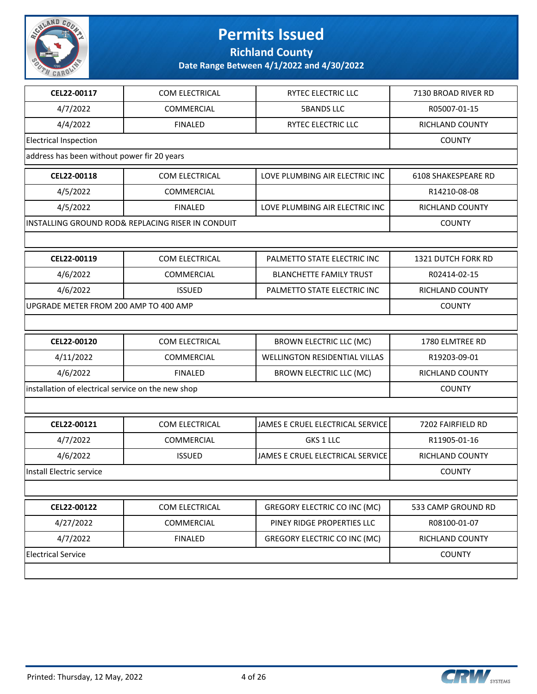

**Richland County**

| CEL22-00117                                        | <b>COM ELECTRICAL</b>                             | <b>RYTEC ELECTRIC LLC</b>            | 7130 BROAD RIVER RD    |
|----------------------------------------------------|---------------------------------------------------|--------------------------------------|------------------------|
| 4/7/2022                                           | <b>COMMERCIAL</b>                                 | <b>5BANDS LLC</b>                    | R05007-01-15           |
| 4/4/2022                                           | <b>FINALED</b>                                    | RYTEC ELECTRIC LLC                   | <b>RICHLAND COUNTY</b> |
| <b>Electrical Inspection</b>                       |                                                   |                                      | <b>COUNTY</b>          |
| address has been without power fir 20 years        |                                                   |                                      |                        |
| CEL22-00118                                        | COM ELECTRICAL                                    | LOVE PLUMBING AIR ELECTRIC INC       | 6108 SHAKESPEARE RD    |
| 4/5/2022                                           | <b>COMMERCIAL</b>                                 |                                      | R14210-08-08           |
| 4/5/2022                                           | <b>FINALED</b>                                    | LOVE PLUMBING AIR ELECTRIC INC       | RICHLAND COUNTY        |
|                                                    | INSTALLING GROUND ROD& REPLACING RISER IN CONDUIT |                                      | <b>COUNTY</b>          |
|                                                    |                                                   |                                      |                        |
| CEL22-00119                                        | COM ELECTRICAL                                    | PALMETTO STATE ELECTRIC INC          | 1321 DUTCH FORK RD     |
| 4/6/2022                                           | COMMERCIAL                                        | <b>BLANCHETTE FAMILY TRUST</b>       | R02414-02-15           |
| 4/6/2022                                           | <b>ISSUED</b>                                     | PALMETTO STATE ELECTRIC INC          | RICHLAND COUNTY        |
| UPGRADE METER FROM 200 AMP TO 400 AMP              |                                                   |                                      | <b>COUNTY</b>          |
|                                                    |                                                   |                                      |                        |
| CEL22-00120                                        | COM ELECTRICAL                                    | <b>BROWN ELECTRIC LLC (MC)</b>       | 1780 ELMTREE RD        |
| 4/11/2022                                          | <b>COMMERCIAL</b>                                 | <b>WELLINGTON RESIDENTIAL VILLAS</b> | R19203-09-01           |
| 4/6/2022                                           | <b>FINALED</b>                                    | <b>BROWN ELECTRIC LLC (MC)</b>       | RICHLAND COUNTY        |
| installation of electrical service on the new shop |                                                   |                                      | <b>COUNTY</b>          |
|                                                    |                                                   |                                      |                        |
| CEL22-00121                                        | COM ELECTRICAL                                    | JAMES E CRUEL ELECTRICAL SERVICE     | 7202 FAIRFIELD RD      |
| 4/7/2022                                           | <b>COMMERCIAL</b>                                 | GKS 1 LLC                            | R11905-01-16           |
| 4/6/2022                                           | <b>ISSUED</b>                                     | JAMES E CRUEL ELECTRICAL SERVICE     | RICHLAND COUNTY        |
| Install Electric service                           |                                                   |                                      | <b>COUNTY</b>          |
|                                                    |                                                   |                                      |                        |
| CEL22-00122                                        | COM ELECTRICAL                                    | GREGORY ELECTRIC CO INC (MC)         | 533 CAMP GROUND RD     |
| 4/27/2022                                          | COMMERCIAL                                        | PINEY RIDGE PROPERTIES LLC           | R08100-01-07           |
| 4/7/2022                                           | <b>FINALED</b>                                    | GREGORY ELECTRIC CO INC (MC)         | <b>RICHLAND COUNTY</b> |
| <b>Electrical Service</b>                          |                                                   |                                      | <b>COUNTY</b>          |
|                                                    |                                                   |                                      |                        |

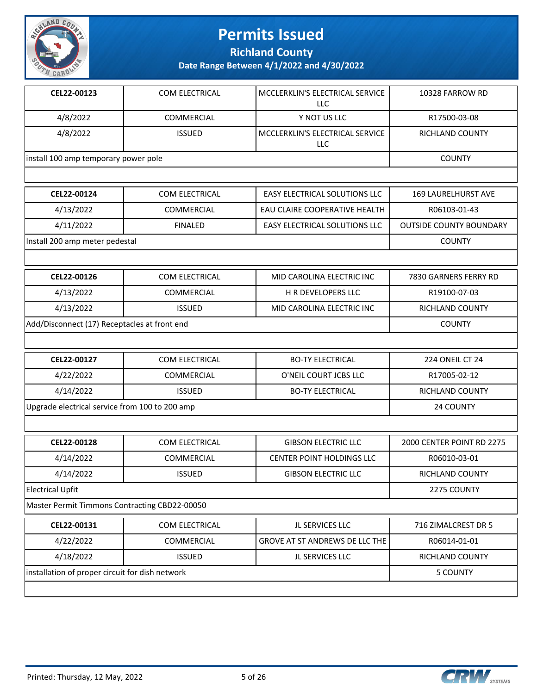

**Richland County**

| CEL22-00123                                     | COM ELECTRICAL    | MCCLERKLIN'S ELECTRICAL SERVICE<br><b>LLC</b> | 10328 FARROW RD                |  |
|-------------------------------------------------|-------------------|-----------------------------------------------|--------------------------------|--|
| 4/8/2022                                        | COMMERCIAL        | Y NOT US LLC                                  | R17500-03-08                   |  |
| 4/8/2022                                        | <b>ISSUED</b>     | MCCLERKLIN'S ELECTRICAL SERVICE<br>LLC        | <b>RICHLAND COUNTY</b>         |  |
| install 100 amp temporary power pole            |                   |                                               | <b>COUNTY</b>                  |  |
|                                                 |                   |                                               |                                |  |
| CEL22-00124                                     | COM ELECTRICAL    | EASY ELECTRICAL SOLUTIONS LLC                 | <b>169 LAURELHURST AVE</b>     |  |
| 4/13/2022                                       | COMMERCIAL        | EAU CLAIRE COOPERATIVE HEALTH                 | R06103-01-43                   |  |
| 4/11/2022                                       | <b>FINALED</b>    | EASY ELECTRICAL SOLUTIONS LLC                 | <b>OUTSIDE COUNTY BOUNDARY</b> |  |
| Install 200 amp meter pedestal                  |                   |                                               | <b>COUNTY</b>                  |  |
|                                                 |                   |                                               |                                |  |
| CEL22-00126                                     | COM ELECTRICAL    | MID CAROLINA ELECTRIC INC                     | 7830 GARNERS FERRY RD          |  |
| 4/13/2022                                       | <b>COMMERCIAL</b> | H R DEVELOPERS LLC                            | R19100-07-03                   |  |
| 4/13/2022                                       | <b>ISSUED</b>     | MID CAROLINA ELECTRIC INC                     | <b>RICHLAND COUNTY</b>         |  |
| Add/Disconnect (17) Receptacles at front end    | <b>COUNTY</b>     |                                               |                                |  |
|                                                 |                   |                                               |                                |  |
| CEL22-00127                                     | COM ELECTRICAL    | <b>BO-TY ELECTRICAL</b>                       | <b>224 ONEIL CT 24</b>         |  |
| 4/22/2022                                       | <b>COMMERCIAL</b> | O'NEIL COURT JCBS LLC                         | R17005-02-12                   |  |
| 4/14/2022                                       | <b>ISSUED</b>     | <b>BO-TY ELECTRICAL</b>                       | RICHLAND COUNTY                |  |
| Upgrade electrical service from 100 to 200 amp  |                   |                                               | 24 COUNTY                      |  |
|                                                 |                   |                                               |                                |  |
| CEL22-00128                                     | COM ELECTRICAL    | <b>GIBSON ELECTRIC LLC</b>                    | 2000 CENTER POINT RD 2275      |  |
| 4/14/2022                                       | COMMERCIAL        | CENTER POINT HOLDINGS LLC                     | R06010-03-01                   |  |
| 4/14/2022                                       | <b>ISSUED</b>     | <b>GIBSON ELECTRIC LLC</b>                    | RICHLAND COUNTY                |  |
| <b>Electrical Upfit</b>                         |                   |                                               | 2275 COUNTY                    |  |
| Master Permit Timmons Contracting CBD22-00050   |                   |                                               |                                |  |
| CEL22-00131                                     | COM ELECTRICAL    | JL SERVICES LLC                               | 716 ZIMALCREST DR 5            |  |
| 4/22/2022                                       | COMMERCIAL        | GROVE AT ST ANDREWS DE LLC THE                | R06014-01-01                   |  |
| 4/18/2022                                       | <b>ISSUED</b>     | JL SERVICES LLC                               | RICHLAND COUNTY                |  |
| installation of proper circuit for dish network |                   |                                               | <b>5 COUNTY</b>                |  |
|                                                 |                   |                                               |                                |  |

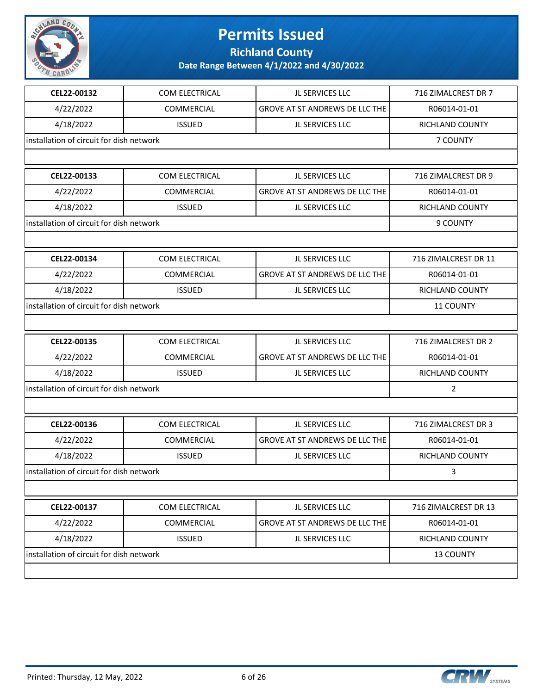

**Richland County**

| CEL22-00132                               | COM ELECTRICAL    | JL SERVICES LLC                       | 716 ZIMALCREST DR 7  |
|-------------------------------------------|-------------------|---------------------------------------|----------------------|
| 4/22/2022                                 | <b>COMMERCIAL</b> | GROVE AT ST ANDREWS DE LLC THE        | R06014-01-01         |
| 4/18/2022                                 | <b>ISSUED</b>     | JL SERVICES LLC                       | RICHLAND COUNTY      |
| installation of circuit for dish network  |                   |                                       | 7 COUNTY             |
|                                           |                   |                                       |                      |
| CEL22-00133                               | COM ELECTRICAL    | JL SERVICES LLC                       | 716 ZIMALCREST DR 9  |
| 4/22/2022                                 | COMMERCIAL        | <b>GROVE AT ST ANDREWS DE LLC THE</b> | R06014-01-01         |
| 4/18/2022                                 | <b>ISSUED</b>     | JL SERVICES LLC                       | RICHLAND COUNTY      |
| installation of circuit for dish network  |                   |                                       | 9 COUNTY             |
|                                           |                   |                                       |                      |
| CEL22-00134                               | COM ELECTRICAL    | JL SERVICES LLC                       | 716 ZIMALCREST DR 11 |
| 4/22/2022                                 | COMMERCIAL        | <b>GROVE AT ST ANDREWS DE LLC THE</b> | R06014-01-01         |
| 4/18/2022                                 | <b>ISSUED</b>     | JL SERVICES LLC                       | RICHLAND COUNTY      |
| installation of circuit for dish network  |                   |                                       | <b>11 COUNTY</b>     |
|                                           |                   |                                       |                      |
| CEL22-00135                               | COM ELECTRICAL    | JL SERVICES LLC                       | 716 ZIMALCREST DR 2  |
| 4/22/2022                                 | COMMERCIAL        | <b>GROVE AT ST ANDREWS DE LLC THE</b> | R06014-01-01         |
| 4/18/2022                                 | <b>ISSUED</b>     | JL SERVICES LLC                       | RICHLAND COUNTY      |
| installation of circuit for dish network  |                   |                                       | $\overline{2}$       |
|                                           |                   |                                       |                      |
| CEL22-00136                               | COM ELECTRICAL    | JL SERVICES LLC                       | 716 ZIMALCREST DR 3  |
| 4/22/2022                                 | COMMERCIAL        | GROVE AT ST ANDREWS DE LLC THE        | R06014-01-01         |
| 4/18/2022                                 | <b>ISSUED</b>     | JL SERVICES LLC                       | RICHLAND COUNTY      |
| linstallation of circuit for dish network |                   |                                       | 3                    |
|                                           |                   |                                       |                      |
| CEL22-00137                               | COM ELECTRICAL    | JL SERVICES LLC                       | 716 ZIMALCREST DR 13 |
| 4/22/2022                                 | COMMERCIAL        | GROVE AT ST ANDREWS DE LLC THE        | R06014-01-01         |
| 4/18/2022                                 | <b>ISSUED</b>     | JL SERVICES LLC                       | RICHLAND COUNTY      |
| installation of circuit for dish network  | 13 COUNTY         |                                       |                      |
|                                           |                   |                                       |                      |

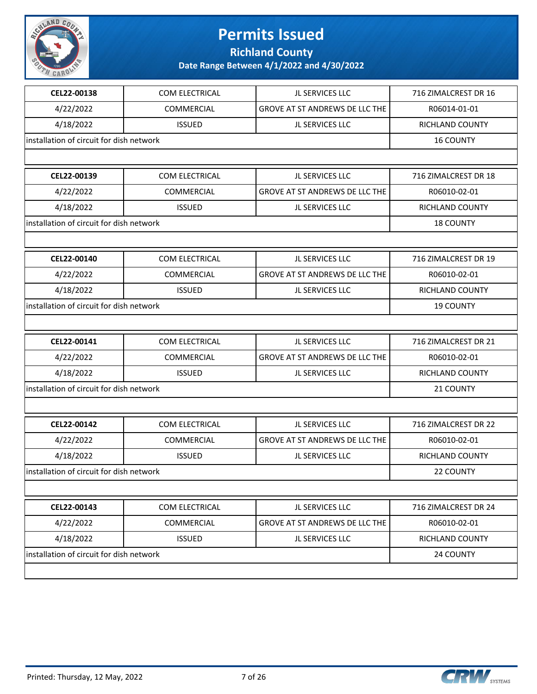

**Richland County**

| CEL22-00138                              | <b>COM ELECTRICAL</b> | JL SERVICES LLC                       | 716 ZIMALCREST DR 16   |
|------------------------------------------|-----------------------|---------------------------------------|------------------------|
| 4/22/2022                                | <b>COMMERCIAL</b>     | <b>GROVE AT ST ANDREWS DE LLC THE</b> | R06014-01-01           |
| 4/18/2022                                | <b>ISSUED</b>         | JL SERVICES LLC                       | <b>RICHLAND COUNTY</b> |
| installation of circuit for dish network |                       |                                       | <b>16 COUNTY</b>       |
|                                          |                       |                                       |                        |
| CEL22-00139                              | COM ELECTRICAL        | JL SERVICES LLC                       | 716 ZIMALCREST DR 18   |
| 4/22/2022                                | <b>COMMERCIAL</b>     | <b>GROVE AT ST ANDREWS DE LLC THE</b> | R06010-02-01           |
| 4/18/2022                                | <b>ISSUED</b>         | JL SERVICES LLC                       | RICHLAND COUNTY        |
| installation of circuit for dish network |                       |                                       | <b>18 COUNTY</b>       |
|                                          |                       |                                       |                        |
| CEL22-00140                              | <b>COM ELECTRICAL</b> | JL SERVICES LLC                       | 716 ZIMALCREST DR 19   |
| 4/22/2022                                | COMMERCIAL            | <b>GROVE AT ST ANDREWS DE LLC THE</b> | R06010-02-01           |
| 4/18/2022                                | <b>ISSUED</b>         | JL SERVICES LLC                       | RICHLAND COUNTY        |
| installation of circuit for dish network |                       |                                       | <b>19 COUNTY</b>       |
|                                          |                       |                                       |                        |
| CEL22-00141                              | <b>COM ELECTRICAL</b> | JL SERVICES LLC                       | 716 ZIMALCREST DR 21   |
| 4/22/2022                                | COMMERCIAL            | <b>GROVE AT ST ANDREWS DE LLC THE</b> | R06010-02-01           |
| 4/18/2022                                | <b>ISSUED</b>         | JL SERVICES LLC                       | RICHLAND COUNTY        |
| installation of circuit for dish network |                       |                                       | 21 COUNTY              |
|                                          |                       |                                       |                        |
| CEL22-00142                              | COM ELECTRICAL        | JL SERVICES LLC                       | 716 ZIMALCREST DR 22   |
| 4/22/2022                                | COMMERCIAL            | <b>GROVE AT ST ANDREWS DE LLC THE</b> | R06010-02-01           |
| 4/18/2022                                | <b>ISSUED</b>         | JL SERVICES LLC                       | <b>RICHLAND COUNTY</b> |
| installation of circuit for dish network |                       |                                       | 22 COUNTY              |
|                                          |                       |                                       |                        |
| CEL22-00143                              | COM ELECTRICAL        | JL SERVICES LLC                       | 716 ZIMALCREST DR 24   |
| 4/22/2022                                | COMMERCIAL            | GROVE AT ST ANDREWS DE LLC THE        | R06010-02-01           |
| 4/18/2022                                | <b>ISSUED</b>         | JL SERVICES LLC                       | RICHLAND COUNTY        |
| installation of circuit for dish network |                       |                                       | 24 COUNTY              |
|                                          |                       |                                       |                        |

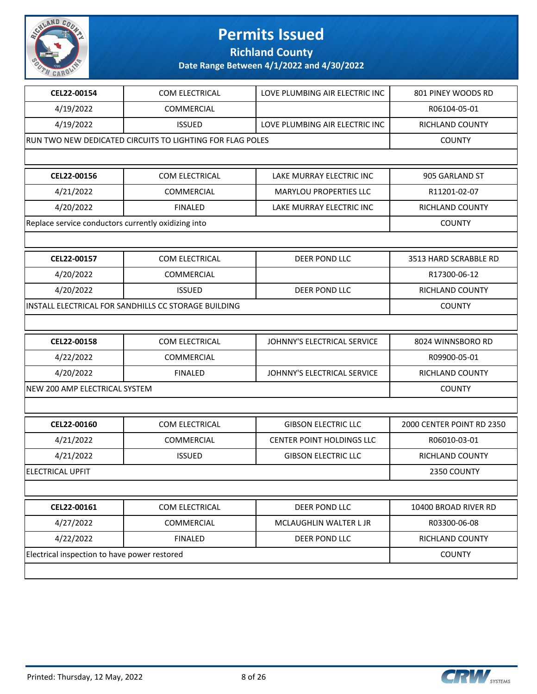

**Richland County**

| CEL22-00154                                         | COM ELECTRICAL                                            | LOVE PLUMBING AIR ELECTRIC INC.  | 801 PINEY WOODS RD        |
|-----------------------------------------------------|-----------------------------------------------------------|----------------------------------|---------------------------|
| 4/19/2022                                           | COMMERCIAL                                                |                                  | R06104-05-01              |
| 4/19/2022                                           | <b>ISSUED</b>                                             | LOVE PLUMBING AIR ELECTRIC INC   | RICHLAND COUNTY           |
|                                                     | RUN TWO NEW DEDICATED CIRCUITS TO LIGHTING FOR FLAG POLES |                                  | <b>COUNTY</b>             |
|                                                     |                                                           |                                  |                           |
| CEL22-00156                                         | COM ELECTRICAL                                            | LAKE MURRAY ELECTRIC INC         | 905 GARLAND ST            |
| 4/21/2022                                           | COMMERCIAL                                                | MARYLOU PROPERTIES LLC           | R11201-02-07              |
| 4/20/2022                                           | <b>FINALED</b>                                            | LAKE MURRAY ELECTRIC INC         | <b>RICHLAND COUNTY</b>    |
| Replace service conductors currently oxidizing into |                                                           |                                  | <b>COUNTY</b>             |
|                                                     |                                                           |                                  |                           |
| CEL22-00157                                         | COM ELECTRICAL                                            | <b>DEER POND LLC</b>             | 3513 HARD SCRABBLE RD     |
| 4/20/2022                                           | COMMERCIAL                                                |                                  | R17300-06-12              |
| 4/20/2022                                           | <b>ISSUED</b>                                             | <b>DEER POND LLC</b>             | RICHLAND COUNTY           |
|                                                     | INSTALL ELECTRICAL FOR SANDHILLS CC STORAGE BUILDING      |                                  | <b>COUNTY</b>             |
|                                                     |                                                           |                                  |                           |
| CEL22-00158                                         | COM ELECTRICAL                                            | JOHNNY'S ELECTRICAL SERVICE      | 8024 WINNSBORO RD         |
| 4/22/2022                                           | COMMERCIAL                                                |                                  | R09900-05-01              |
| 4/20/2022                                           | <b>FINALED</b>                                            | JOHNNY'S ELECTRICAL SERVICE      | RICHLAND COUNTY           |
| NEW 200 AMP ELECTRICAL SYSTEM                       |                                                           |                                  | <b>COUNTY</b>             |
|                                                     |                                                           |                                  |                           |
| CEL22-00160                                         | COM ELECTRICAL                                            | <b>GIBSON ELECTRIC LLC</b>       | 2000 CENTER POINT RD 2350 |
| 4/21/2022                                           | COMMERCIAL                                                | <b>CENTER POINT HOLDINGS LLC</b> | R06010-03-01              |
| 4/21/2022                                           | <b>ISSUED</b>                                             | <b>GIBSON ELECTRIC LLC</b>       | RICHLAND COUNTY           |
| <b>ELECTRICAL UPFIT</b>                             |                                                           |                                  | 2350 COUNTY               |
|                                                     |                                                           |                                  |                           |
| CEL22-00161                                         | COM ELECTRICAL                                            | DEER POND LLC                    | 10400 BROAD RIVER RD      |
| 4/27/2022                                           | COMMERCIAL                                                | MCLAUGHLIN WALTER L JR           | R03300-06-08              |
| 4/22/2022                                           | <b>FINALED</b>                                            | DEER POND LLC                    | RICHLAND COUNTY           |
| Electrical inspection to have power restored        | <b>COUNTY</b>                                             |                                  |                           |
|                                                     |                                                           |                                  |                           |

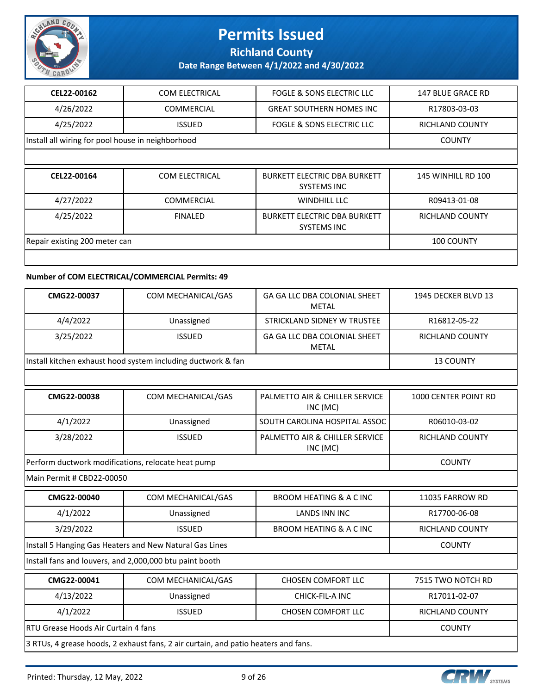

### **Richland County**

**Date Range Between 4/1/2022 and 4/30/2022**

| CEL22-00162                                       | COM ELECTRICAL        | FOGLE & SONS ELECTRIC LLC                                 | <b>147 BLUE GRACE RD</b>  |  |  |
|---------------------------------------------------|-----------------------|-----------------------------------------------------------|---------------------------|--|--|
| 4/26/2022                                         | <b>COMMERCIAL</b>     | <b>GREAT SOUTHERN HOMES INC</b>                           | R17803-03-03              |  |  |
| 4/25/2022                                         | <b>ISSUED</b>         | <b>FOGLE &amp; SONS ELECTRIC LLC</b>                      | RICHLAND COUNTY           |  |  |
| Install all wiring for pool house in neighborhood |                       |                                                           | <b>COUNTY</b>             |  |  |
|                                                   |                       |                                                           |                           |  |  |
| CEL22-00164                                       | <b>COM ELECTRICAL</b> | <b>BURKETT ELECTRIC DBA BURKETT</b><br><b>SYSTEMS INC</b> | <b>145 WINHILL RD 100</b> |  |  |
| 4/27/2022                                         | <b>COMMERCIAL</b>     | WINDHILL LLC                                              | R09413-01-08              |  |  |
| 4/25/2022                                         | <b>FINALED</b>        | <b>BURKETT ELECTRIC DBA BURKETT</b><br><b>SYSTEMS INC</b> | <b>RICHLAND COUNTY</b>    |  |  |
| Repair existing 200 meter can                     | <b>100 COUNTY</b>     |                                                           |                           |  |  |
|                                                   |                       |                                                           |                           |  |  |

#### **Number of COM ELECTRICAL/COMMERCIAL Permits: 49**

| CMG22-00037                                                  | COM MECHANICAL/GAS | <b>GA GA LLC DBA COLONIAL SHEET</b><br>METAL | 1945 DECKER BLVD 13    |
|--------------------------------------------------------------|--------------------|----------------------------------------------|------------------------|
| 4/4/2022                                                     | Unassigned         | STRICKLAND SIDNEY W TRUSTEE                  | R16812-05-22           |
| 3/25/2022                                                    | <b>ISSUED</b>      | GA GA LLC DBA COLONIAL SHEET<br>METAL        | <b>RICHLAND COUNTY</b> |
| Install kitchen exhaust hood system including ductwork & fan |                    |                                              | <b>13 COUNTY</b>       |

| CMG22-00038                                        | COM MECHANICAL/GAS | PALMETTO AIR & CHILLER SERVICE<br>INC (MC) | <b>1000 CENTER POINT RD</b> |
|----------------------------------------------------|--------------------|--------------------------------------------|-----------------------------|
| 4/1/2022                                           | Unassigned         | SOUTH CAROLINA HOSPITAL ASSOC              | R06010-03-02                |
| 3/28/2022                                          | <b>ISSUED</b>      | PALMETTO AIR & CHILLER SERVICE<br>INC (MC) | RICHLAND COUNTY             |
| Perform ductwork modifications, relocate heat pump |                    |                                            | <b>COUNTY</b>               |

Main Permit # CBD22-00050

| CMG22-00040                                                                        | COM MECHANICAL/GAS                                      | BROOM HEATING & A C INC   | 11035 FARROW RD        |  |
|------------------------------------------------------------------------------------|---------------------------------------------------------|---------------------------|------------------------|--|
| 4/1/2022                                                                           | Unassigned                                              | LANDS INN INC             | R17700-06-08           |  |
| 3/29/2022                                                                          | <b>ISSUED</b>                                           | BROOM HEATING & A C INC   | RICHLAND COUNTY        |  |
|                                                                                    | Install 5 Hanging Gas Heaters and New Natural Gas Lines |                           | <b>COUNTY</b>          |  |
| Install fans and louvers, and 2,000,000 btu paint booth                            |                                                         |                           |                        |  |
| CMG22-00041                                                                        | COM MECHANICAL/GAS                                      | <b>CHOSEN COMFORT LLC</b> | 7515 TWO NOTCH RD      |  |
| 4/13/2022                                                                          | Unassigned                                              | CHICK-FIL-A INC           | R17011-02-07           |  |
| 4/1/2022                                                                           | <b>ISSUED</b>                                           | <b>CHOSEN COMFORT LLC</b> | <b>RICHLAND COUNTY</b> |  |
| <b>RTU Grease Hoods Air Curtain 4 fans</b><br><b>COUNTY</b>                        |                                                         |                           |                        |  |
| 3 RTUs, 4 grease hoods, 2 exhaust fans, 2 air curtain, and patio heaters and fans. |                                                         |                           |                        |  |



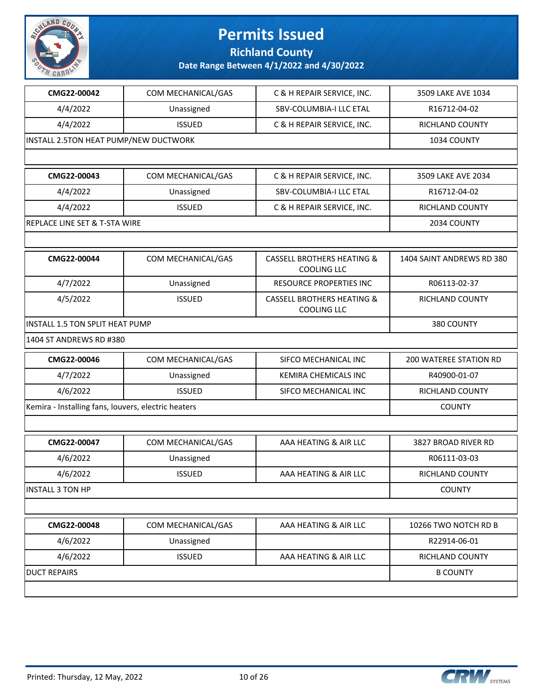

**Richland County**

| CMG22-00042                                         | COM MECHANICAL/GAS | C & H REPAIR SERVICE, INC.                                  | 3509 LAKE AVE 1034        |
|-----------------------------------------------------|--------------------|-------------------------------------------------------------|---------------------------|
| 4/4/2022                                            | Unassigned         | SBV-COLUMBIA-I LLC ETAL                                     | R16712-04-02              |
| 4/4/2022                                            | <b>ISSUED</b>      | C & H REPAIR SERVICE, INC.                                  | RICHLAND COUNTY           |
| INSTALL 2.5TON HEAT PUMP/NEW DUCTWORK               |                    |                                                             | 1034 COUNTY               |
|                                                     |                    |                                                             |                           |
| CMG22-00043                                         | COM MECHANICAL/GAS | C & H REPAIR SERVICE, INC.                                  | 3509 LAKE AVE 2034        |
| 4/4/2022                                            | Unassigned         | SBV-COLUMBIA-I LLC ETAL                                     | R16712-04-02              |
| 4/4/2022                                            | <b>ISSUED</b>      | C & H REPAIR SERVICE, INC.                                  | RICHLAND COUNTY           |
| REPLACE LINE SET & T-STA WIRE                       |                    |                                                             | 2034 COUNTY               |
|                                                     |                    |                                                             |                           |
| CMG22-00044                                         | COM MECHANICAL/GAS | <b>CASSELL BROTHERS HEATING &amp;</b><br><b>COOLING LLC</b> | 1404 SAINT ANDREWS RD 380 |
| 4/7/2022                                            | Unassigned         | <b>RESOURCE PROPERTIES INC</b>                              | R06113-02-37              |
| 4/5/2022                                            | <b>ISSUED</b>      | <b>CASSELL BROTHERS HEATING &amp;</b><br><b>COOLING LLC</b> | RICHLAND COUNTY           |
| INSTALL 1.5 TON SPLIT HEAT PUMP                     |                    |                                                             | 380 COUNTY                |
| 1404 ST ANDREWS RD #380                             |                    |                                                             |                           |
| CMG22-00046                                         | COM MECHANICAL/GAS | SIFCO MECHANICAL INC                                        | 200 WATEREE STATION RD    |
| 4/7/2022                                            | Unassigned         | KEMIRA CHEMICALS INC                                        | R40900-01-07              |
| 4/6/2022                                            | <b>ISSUED</b>      | SIFCO MECHANICAL INC                                        | RICHLAND COUNTY           |
| Kemira - Installing fans, louvers, electric heaters |                    |                                                             | <b>COUNTY</b>             |
|                                                     |                    |                                                             |                           |
| CMG22-00047                                         | COM MECHANICAL/GAS | AAA HEATING & AIR LLC                                       | 3827 BROAD RIVER RD       |
| 4/6/2022                                            | Unassigned         |                                                             | R06111-03-03              |
| 4/6/2022                                            | <b>ISSUED</b>      | AAA HEATING & AIR LLC                                       | RICHLAND COUNTY           |
| INSTALL 3 TON HP                                    |                    |                                                             | <b>COUNTY</b>             |
|                                                     |                    |                                                             |                           |
| CMG22-00048                                         | COM MECHANICAL/GAS | AAA HEATING & AIR LLC                                       | 10266 TWO NOTCH RD B      |
| 4/6/2022                                            | Unassigned         |                                                             | R22914-06-01              |
| 4/6/2022                                            | <b>ISSUED</b>      | AAA HEATING & AIR LLC                                       | RICHLAND COUNTY           |
| <b>DUCT REPAIRS</b>                                 |                    |                                                             | <b>B COUNTY</b>           |

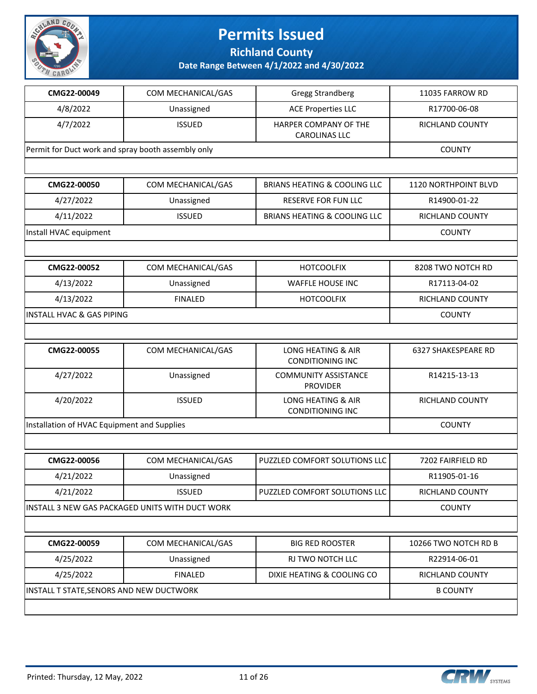

**Richland County**

| CMG22-00049                                        | COM MECHANICAL/GAS                              | <b>Gregg Strandberg</b>                                  | 11035 FARROW RD             |  |
|----------------------------------------------------|-------------------------------------------------|----------------------------------------------------------|-----------------------------|--|
| 4/8/2022                                           | Unassigned                                      | <b>ACE Properties LLC</b>                                | R17700-06-08                |  |
| 4/7/2022                                           | <b>ISSUED</b>                                   | HARPER COMPANY OF THE<br><b>CAROLINAS LLC</b>            | RICHLAND COUNTY             |  |
| Permit for Duct work and spray booth assembly only |                                                 |                                                          | <b>COUNTY</b>               |  |
|                                                    |                                                 |                                                          |                             |  |
| CMG22-00050                                        | COM MECHANICAL/GAS                              | <b>BRIANS HEATING &amp; COOLING LLC</b>                  | <b>1120 NORTHPOINT BLVD</b> |  |
| 4/27/2022                                          | Unassigned                                      | RESERVE FOR FUN LLC                                      | R14900-01-22                |  |
| 4/11/2022                                          | <b>ISSUED</b>                                   | <b>BRIANS HEATING &amp; COOLING LLC</b>                  | RICHLAND COUNTY             |  |
| Install HVAC equipment                             |                                                 |                                                          | <b>COUNTY</b>               |  |
|                                                    |                                                 |                                                          |                             |  |
| CMG22-00052                                        | COM MECHANICAL/GAS                              | <b>HOTCOOLFIX</b>                                        | 8208 TWO NOTCH RD           |  |
| 4/13/2022                                          | Unassigned                                      | WAFFLE HOUSE INC                                         | R17113-04-02                |  |
| 4/13/2022                                          | <b>FINALED</b>                                  | <b>HOTCOOLFIX</b>                                        | RICHLAND COUNTY             |  |
| <b>INSTALL HVAC &amp; GAS PIPING</b>               |                                                 |                                                          | <b>COUNTY</b>               |  |
|                                                    |                                                 |                                                          |                             |  |
| CMG22-00055                                        | COM MECHANICAL/GAS                              | <b>LONG HEATING &amp; AIR</b><br><b>CONDITIONING INC</b> | <b>6327 SHAKESPEARE RD</b>  |  |
| 4/27/2022                                          | Unassigned                                      | <b>COMMUNITY ASSISTANCE</b><br><b>PROVIDER</b>           | R14215-13-13                |  |
| 4/20/2022                                          | <b>ISSUED</b>                                   | LONG HEATING & AIR<br><b>CONDITIONING INC</b>            | RICHLAND COUNTY             |  |
| Installation of HVAC Equipment and Supplies        |                                                 |                                                          | <b>COUNTY</b>               |  |
|                                                    |                                                 |                                                          |                             |  |
| CMG22-00056                                        | COM MECHANICAL/GAS                              | PUZZLED COMFORT SOLUTIONS LLC                            | 7202 FAIRFIELD RD           |  |
| 4/21/2022                                          | Unassigned                                      |                                                          | R11905-01-16                |  |
| 4/21/2022                                          | <b>ISSUED</b>                                   | PUZZLED COMFORT SOLUTIONS LLC                            | RICHLAND COUNTY             |  |
|                                                    | INSTALL 3 NEW GAS PACKAGED UNITS WITH DUCT WORK |                                                          | <b>COUNTY</b>               |  |
|                                                    |                                                 |                                                          |                             |  |
| CMG22-00059                                        | COM MECHANICAL/GAS                              | <b>BIG RED ROOSTER</b>                                   | 10266 TWO NOTCH RD B        |  |
| 4/25/2022                                          | Unassigned                                      | RJ TWO NOTCH LLC                                         | R22914-06-01                |  |
| 4/25/2022                                          | <b>FINALED</b>                                  | DIXIE HEATING & COOLING CO                               | <b>RICHLAND COUNTY</b>      |  |
|                                                    | INSTALL T STATE, SENORS AND NEW DUCTWORK        |                                                          |                             |  |
|                                                    |                                                 |                                                          |                             |  |

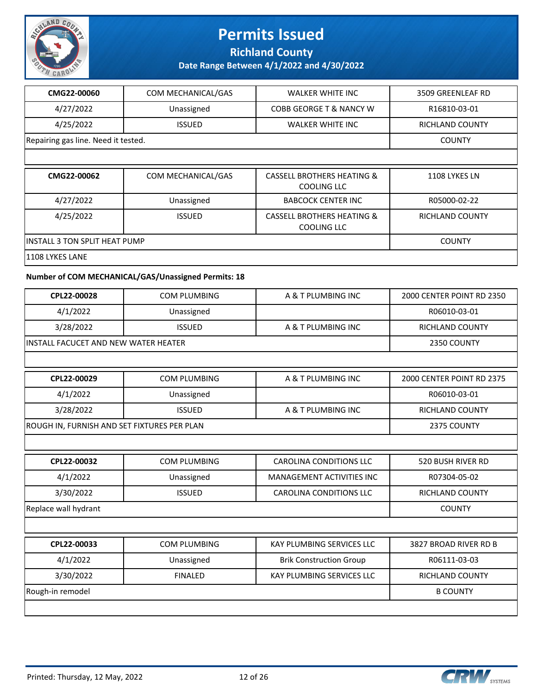

**Richland County**

| CMG22-00060                                 | COM MECHANICAL/GAS                                  | <b>WALKER WHITE INC</b>                                     | 3509 GREENLEAF RD         |
|---------------------------------------------|-----------------------------------------------------|-------------------------------------------------------------|---------------------------|
| 4/27/2022                                   | Unassigned                                          | COBB GEORGE T & NANCY W                                     | R16810-03-01              |
| 4/25/2022                                   | <b>ISSUED</b>                                       | <b>WALKER WHITE INC</b>                                     | RICHLAND COUNTY           |
| Repairing gas line. Need it tested.         |                                                     |                                                             | <b>COUNTY</b>             |
|                                             |                                                     |                                                             |                           |
| CMG22-00062                                 | COM MECHANICAL/GAS                                  | <b>CASSELL BROTHERS HEATING &amp;</b><br><b>COOLING LLC</b> | 1108 LYKES LN             |
| 4/27/2022                                   | Unassigned                                          | <b>BABCOCK CENTER INC</b>                                   | R05000-02-22              |
| 4/25/2022                                   | <b>ISSUED</b>                                       | <b>CASSELL BROTHERS HEATING &amp;</b><br><b>COOLING LLC</b> | RICHLAND COUNTY           |
| <b>INSTALL 3 TON SPLIT HEAT PUMP</b>        |                                                     |                                                             | <b>COUNTY</b>             |
| 1108 LYKES LANE                             |                                                     |                                                             |                           |
|                                             | Number of COM MECHANICAL/GAS/Unassigned Permits: 18 |                                                             |                           |
| CPL22-00028                                 | <b>COM PLUMBING</b>                                 | A & T PLUMBING INC                                          | 2000 CENTER POINT RD 2350 |
| 4/1/2022                                    | Unassigned                                          |                                                             | R06010-03-01              |
| 3/28/2022                                   | <b>ISSUED</b>                                       | A & T PLUMBING INC                                          | <b>RICHLAND COUNTY</b>    |
| INSTALL FACUCET AND NEW WATER HEATER        | 2350 COUNTY                                         |                                                             |                           |
|                                             |                                                     |                                                             |                           |
| CPL22-00029                                 | <b>COM PLUMBING</b>                                 | A & T PLUMBING INC                                          | 2000 CENTER POINT RD 2375 |
| 4/1/2022                                    | Unassigned                                          |                                                             | R06010-03-01              |
| 3/28/2022                                   | <b>ISSUED</b>                                       | A & T PLUMBING INC                                          | RICHLAND COUNTY           |
| ROUGH IN, FURNISH AND SET FIXTURES PER PLAN |                                                     |                                                             | 2375 COUNTY               |
|                                             |                                                     |                                                             |                           |
| CPL22-00032                                 | COM PLUMBING                                        | <b>CAROLINA CONDITIONS LLC</b>                              | 520 BUSH RIVER RD         |
| 4/1/2022                                    | Unassigned                                          | MANAGEMENT ACTIVITIES INC                                   | R07304-05-02              |
| 3/30/2022                                   | <b>ISSUED</b>                                       | CAROLINA CONDITIONS LLC                                     | RICHLAND COUNTY           |
| Replace wall hydrant                        |                                                     |                                                             | <b>COUNTY</b>             |
|                                             |                                                     |                                                             |                           |
| CPL22-00033                                 | COM PLUMBING                                        | KAY PLUMBING SERVICES LLC                                   | 3827 BROAD RIVER RD B     |
| 4/1/2022                                    | Unassigned                                          | <b>Brik Construction Group</b>                              | R06111-03-03              |
| 3/30/2022                                   | <b>FINALED</b>                                      | KAY PLUMBING SERVICES LLC                                   | RICHLAND COUNTY           |
| Rough-in remodel                            |                                                     |                                                             | <b>B COUNTY</b>           |
|                                             |                                                     |                                                             |                           |

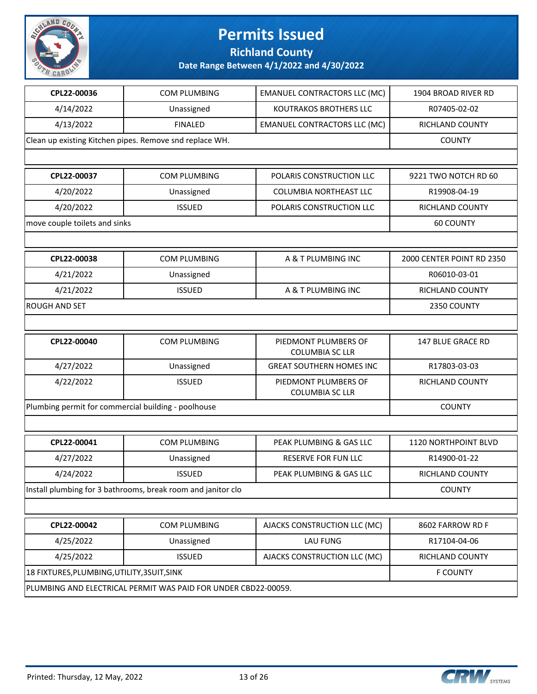

**Richland County**

| CPL22-00036                                         | COM PLUMBING                                                   | <b>EMANUEL CONTRACTORS LLC (MC)</b>            | 1904 BROAD RIVER RD       |
|-----------------------------------------------------|----------------------------------------------------------------|------------------------------------------------|---------------------------|
| 4/14/2022                                           | Unassigned                                                     | <b>KOUTRAKOS BROTHERS LLC</b>                  | R07405-02-02              |
| 4/13/2022                                           | <b>FINALED</b>                                                 | <b>EMANUEL CONTRACTORS LLC (MC)</b>            | RICHLAND COUNTY           |
|                                                     | Clean up existing Kitchen pipes. Remove snd replace WH.        |                                                | <b>COUNTY</b>             |
|                                                     |                                                                |                                                |                           |
| CPL22-00037                                         | COM PLUMBING                                                   | POLARIS CONSTRUCTION LLC                       | 9221 TWO NOTCH RD 60      |
| 4/20/2022                                           | Unassigned                                                     | COLUMBIA NORTHEAST LLC                         | R19908-04-19              |
| 4/20/2022                                           | <b>ISSUED</b>                                                  | POLARIS CONSTRUCTION LLC                       | RICHLAND COUNTY           |
| move couple toilets and sinks                       |                                                                |                                                | <b>60 COUNTY</b>          |
|                                                     |                                                                |                                                |                           |
| CPL22-00038                                         | <b>COM PLUMBING</b>                                            | A & T PLUMBING INC                             | 2000 CENTER POINT RD 2350 |
| 4/21/2022                                           | Unassigned                                                     |                                                | R06010-03-01              |
| 4/21/2022                                           | <b>ISSUED</b>                                                  | A & T PLUMBING INC                             | RICHLAND COUNTY           |
| <b>ROUGH AND SET</b>                                |                                                                |                                                | 2350 COUNTY               |
|                                                     |                                                                |                                                |                           |
| CPL22-00040                                         | COM PLUMBING                                                   | PIEDMONT PLUMBERS OF<br><b>COLUMBIA SC LLR</b> | 147 BLUE GRACE RD         |
| 4/27/2022                                           | Unassigned                                                     | <b>GREAT SOUTHERN HOMES INC</b>                | R17803-03-03              |
| 4/22/2022                                           | <b>ISSUED</b>                                                  | PIEDMONT PLUMBERS OF<br><b>COLUMBIA SC LLR</b> | RICHLAND COUNTY           |
| Plumbing permit for commercial building - poolhouse | <b>COUNTY</b>                                                  |                                                |                           |
|                                                     |                                                                |                                                |                           |
| CPL22-00041                                         | <b>COM PLUMBING</b>                                            | PEAK PLUMBING & GAS LLC                        | 1120 NORTHPOINT BLVD      |
| 4/27/2022                                           | Unassigned                                                     | <b>RESERVE FOR FUN LLC</b>                     | R14900-01-22              |
| 4/24/2022                                           | <b>ISSUED</b>                                                  | PEAK PLUMBING & GAS LLC                        | RICHLAND COUNTY           |
|                                                     | Install plumbing for 3 bathrooms, break room and janitor clo   |                                                | <b>COUNTY</b>             |
|                                                     |                                                                |                                                |                           |
| CPL22-00042                                         | COM PLUMBING                                                   | AJACKS CONSTRUCTION LLC (MC)                   | 8602 FARROW RD F          |
| 4/25/2022                                           | Unassigned                                                     | LAU FUNG                                       | R17104-04-06              |
| 4/25/2022                                           | <b>ISSUED</b>                                                  | AJACKS CONSTRUCTION LLC (MC)                   | RICHLAND COUNTY           |
| 18 FIXTURES, PLUMBING, UTILITY, 3SUIT, SINK         |                                                                |                                                | <b>F COUNTY</b>           |
|                                                     | PLUMBING AND ELECTRICAL PERMIT WAS PAID FOR UNDER CBD22-00059. |                                                |                           |

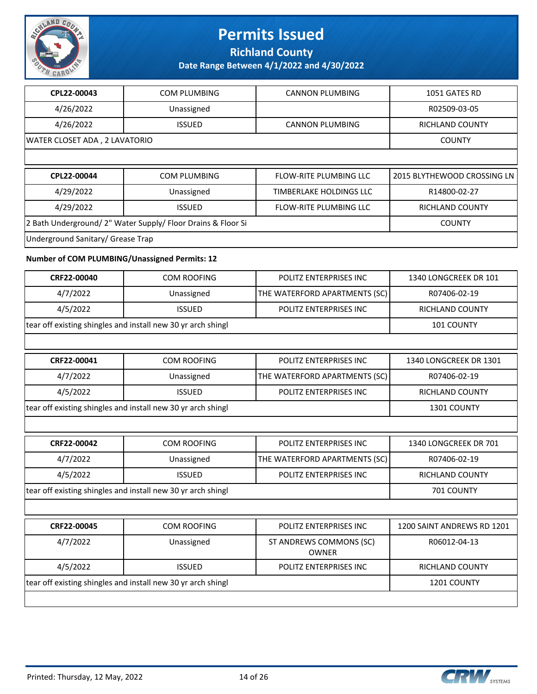

**Richland County**

**Date Range Between 4/1/2022 and 4/30/2022**

| CPL22-00043                                                  | <b>COM PLUMBING</b>                                          | <b>CANNON PLUMBING</b>                  | 1051 GATES RD               |
|--------------------------------------------------------------|--------------------------------------------------------------|-----------------------------------------|-----------------------------|
| 4/26/2022                                                    | Unassigned                                                   |                                         | R02509-03-05                |
| 4/26/2022                                                    | <b>ISSUED</b>                                                | <b>CANNON PLUMBING</b>                  | RICHLAND COUNTY             |
| WATER CLOSET ADA, 2 LAVATORIO                                |                                                              |                                         | <b>COUNTY</b>               |
|                                                              |                                                              |                                         |                             |
| CPL22-00044                                                  | <b>COM PLUMBING</b>                                          | <b>FLOW-RITE PLUMBING LLC</b>           | 2015 BLYTHEWOOD CROSSING LN |
| 4/29/2022                                                    | Unassigned                                                   | TIMBERLAKE HOLDINGS LLC                 | R14800-02-27                |
| 4/29/2022                                                    | <b>ISSUED</b>                                                | FLOW-RITE PLUMBING LLC                  | RICHLAND COUNTY             |
|                                                              | 2 Bath Underground/ 2" Water Supply/ Floor Drains & Floor Si |                                         | <b>COUNTY</b>               |
| Underground Sanitary/ Grease Trap                            |                                                              |                                         |                             |
| Number of COM PLUMBING/Unassigned Permits: 12                |                                                              |                                         |                             |
| CRF22-00040                                                  | <b>COM ROOFING</b>                                           | POLITZ ENTERPRISES INC                  | 1340 LONGCREEK DR 101       |
| 4/7/2022                                                     | Unassigned                                                   | THE WATERFORD APARTMENTS (SC)           | R07406-02-19                |
| 4/5/2022                                                     | <b>ISSUED</b>                                                | POLITZ ENTERPRISES INC                  | RICHLAND COUNTY             |
| tear off existing shingles and install new 30 yr arch shingl | 101 COUNTY                                                   |                                         |                             |
|                                                              |                                                              |                                         |                             |
| CRF22-00041                                                  | <b>COM ROOFING</b>                                           | POLITZ ENTERPRISES INC                  | 1340 LONGCREEK DR 1301      |
| 4/7/2022                                                     | Unassigned                                                   | THE WATERFORD APARTMENTS (SC)           | R07406-02-19                |
| 4/5/2022                                                     | <b>ISSUED</b>                                                | POLITZ ENTERPRISES INC                  | RICHLAND COUNTY             |
|                                                              | tear off existing shingles and install new 30 yr arch shingl |                                         | 1301 COUNTY                 |
|                                                              |                                                              |                                         |                             |
| CRF22-00042                                                  | <b>COM ROOFING</b>                                           | POLITZ ENTERPRISES INC                  | 1340 LONGCREEK DR 701       |
| 4/7/2022                                                     | Unassigned                                                   | THE WATERFORD APARTMENTS (SC)           | R07406-02-19                |
| 4/5/2022                                                     | <b>ISSUED</b>                                                | POLITZ ENTERPRISES INC                  | RICHLAND COUNTY             |
|                                                              | tear off existing shingles and install new 30 yr arch shingl |                                         | 701 COUNTY                  |
|                                                              |                                                              |                                         |                             |
| CRF22-00045                                                  | <b>COM ROOFING</b>                                           | POLITZ ENTERPRISES INC                  | 1200 SAINT ANDREWS RD 1201  |
| 4/7/2022                                                     | Unassigned                                                   | ST ANDREWS COMMONS (SC)<br><b>OWNER</b> | R06012-04-13                |
| 4/5/2022                                                     | <b>ISSUED</b>                                                | POLITZ ENTERPRISES INC                  | RICHLAND COUNTY             |
|                                                              |                                                              |                                         |                             |

tear off existing shingles and install new 30 yr arch shingl 1201 COUNTY

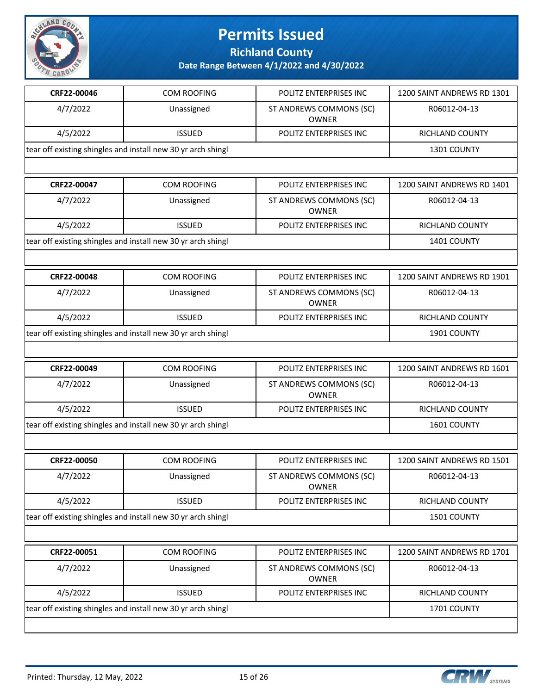

**Richland County**

| CRF22-00046                                                  | <b>COM ROOFING</b> | POLITZ ENTERPRISES INC                  | 1200 SAINT ANDREWS RD 1301 |
|--------------------------------------------------------------|--------------------|-----------------------------------------|----------------------------|
| 4/7/2022                                                     | Unassigned         | ST ANDREWS COMMONS (SC)<br><b>OWNER</b> | R06012-04-13               |
| 4/5/2022                                                     | <b>ISSUED</b>      | POLITZ ENTERPRISES INC                  | <b>RICHLAND COUNTY</b>     |
| tear off existing shingles and install new 30 yr arch shingl |                    |                                         | 1301 COUNTY                |
|                                                              |                    |                                         |                            |
| CRF22-00047                                                  | <b>COM ROOFING</b> | POLITZ ENTERPRISES INC                  | 1200 SAINT ANDREWS RD 1401 |
| 4/7/2022                                                     | Unassigned         | ST ANDREWS COMMONS (SC)<br><b>OWNER</b> | R06012-04-13               |
| 4/5/2022                                                     | <b>ISSUED</b>      | POLITZ ENTERPRISES INC                  | RICHLAND COUNTY            |
| tear off existing shingles and install new 30 yr arch shingl |                    |                                         | 1401 COUNTY                |
|                                                              |                    |                                         |                            |
| CRF22-00048                                                  | <b>COM ROOFING</b> | POLITZ ENTERPRISES INC                  | 1200 SAINT ANDREWS RD 1901 |
| 4/7/2022                                                     | Unassigned         | ST ANDREWS COMMONS (SC)<br><b>OWNER</b> | R06012-04-13               |
| 4/5/2022                                                     | <b>ISSUED</b>      | POLITZ ENTERPRISES INC                  | <b>RICHLAND COUNTY</b>     |
|                                                              |                    |                                         |                            |
| tear off existing shingles and install new 30 yr arch shingl |                    |                                         | 1901 COUNTY                |
|                                                              |                    |                                         |                            |
| CRF22-00049                                                  | <b>COM ROOFING</b> | POLITZ ENTERPRISES INC                  | 1200 SAINT ANDREWS RD 1601 |
| 4/7/2022                                                     | Unassigned         | ST ANDREWS COMMONS (SC)<br><b>OWNER</b> | R06012-04-13               |
| 4/5/2022                                                     | <b>ISSUED</b>      | POLITZ ENTERPRISES INC                  | <b>RICHLAND COUNTY</b>     |
| tear off existing shingles and install new 30 yr arch shingl |                    |                                         | 1601 COUNTY                |
|                                                              |                    |                                         |                            |
| CRF22-00050                                                  | <b>COM ROOFING</b> | POLITZ ENTERPRISES INC                  | 1200 SAINT ANDREWS RD 1501 |
| 4/7/2022                                                     | Unassigned         | ST ANDREWS COMMONS (SC)<br><b>OWNER</b> | R06012-04-13               |
| 4/5/2022                                                     | <b>ISSUED</b>      | POLITZ ENTERPRISES INC                  | RICHLAND COUNTY            |
| tear off existing shingles and install new 30 yr arch shingl |                    |                                         | 1501 COUNTY                |
|                                                              |                    |                                         |                            |
| CRF22-00051                                                  | <b>COM ROOFING</b> | POLITZ ENTERPRISES INC                  | 1200 SAINT ANDREWS RD 1701 |
| 4/7/2022                                                     | Unassigned         | ST ANDREWS COMMONS (SC)<br><b>OWNER</b> | R06012-04-13               |
| 4/5/2022                                                     | <b>ISSUED</b>      | POLITZ ENTERPRISES INC                  | RICHLAND COUNTY            |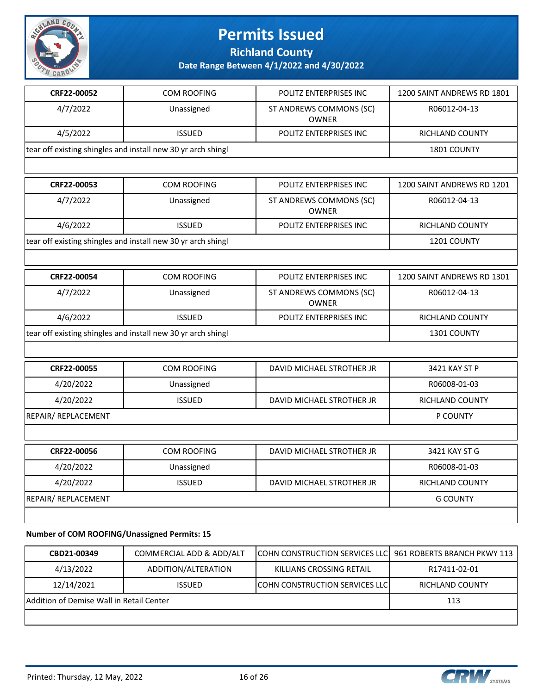

**Richland County**

**Date Range Between 4/1/2022 and 4/30/2022**

| CRF22-00052                                                  | <b>COM ROOFING</b> | POLITZ ENTERPRISES INC                  | 1200 SAINT ANDREWS RD 1801 |
|--------------------------------------------------------------|--------------------|-----------------------------------------|----------------------------|
| 4/7/2022                                                     | Unassigned         | ST ANDREWS COMMONS (SC)<br><b>OWNER</b> | R06012-04-13               |
| 4/5/2022                                                     | <b>ISSUED</b>      | POLITZ ENTERPRISES INC                  | <b>RICHLAND COUNTY</b>     |
| tear off existing shingles and install new 30 yr arch shingl |                    |                                         | 1801 COUNTY                |
|                                                              |                    |                                         |                            |
| CRF22-00053                                                  | <b>COM ROOFING</b> | POLITZ ENTERPRISES INC                  | 1200 SAINT ANDREWS RD 1201 |
| 4/7/2022                                                     | Unassigned         | ST ANDREWS COMMONS (SC)<br><b>OWNER</b> | R06012-04-13               |
| 4/6/2022                                                     | <b>ISSUED</b>      | POLITZ ENTERPRISES INC                  | <b>RICHLAND COUNTY</b>     |
| tear off existing shingles and install new 30 yr arch shingl |                    |                                         | 1201 COUNTY                |
|                                                              |                    |                                         |                            |
| CRF22-00054                                                  | <b>COM ROOFING</b> | POLITZ ENTERPRISES INC                  | 1200 SAINT ANDREWS RD 1301 |
| 4/7/2022                                                     | Unassigned         | ST ANDREWS COMMONS (SC)<br><b>OWNER</b> | R06012-04-13               |
| 4/6/2022                                                     | <b>ISSUED</b>      | POLITZ ENTERPRISES INC                  | <b>RICHLAND COUNTY</b>     |
| tear off existing shingles and install new 30 yr arch shingl | 1301 COUNTY        |                                         |                            |
|                                                              |                    |                                         |                            |
| CRF22-00055                                                  | <b>COM ROOFING</b> | DAVID MICHAEL STROTHER JR               | 3421 KAY ST P              |
| 4/20/2022                                                    | Unassigned         |                                         | R06008-01-03               |
| 4/20/2022                                                    | <b>ISSUED</b>      | DAVID MICHAEL STROTHER JR               | <b>RICHLAND COUNTY</b>     |
| <b>REPAIR/ REPLACEMENT</b>                                   |                    |                                         | P COUNTY                   |
|                                                              |                    |                                         |                            |
| CRF22-00056                                                  | <b>COM ROOFING</b> | DAVID MICHAEL STROTHER JR               | 3421 KAY ST G              |
|                                                              |                    |                                         |                            |
| 4/20/2022                                                    | Unassigned         |                                         | R06008-01-03               |
| 4/20/2022                                                    | <b>ISSUED</b>      | DAVID MICHAEL STROTHER JR               | <b>RICHLAND COUNTY</b>     |

**Number of COM ROOFING/Unassigned Permits: 15**

| CBD21-00349                              | COMMERCIAL ADD & ADD/ALT | COHN CONSTRUCTION SERVICES LLC 961 ROBERTS BRANCH PKWY 113 |                 |
|------------------------------------------|--------------------------|------------------------------------------------------------|-----------------|
| 4/13/2022                                | ADDITION/ALTERATION      | KILLIANS CROSSING RETAIL                                   | R17411-02-01    |
| 12/14/2021                               | <b>ISSUED</b>            | <b>ICOHN CONSTRUCTION SERVICES LLCI</b>                    | RICHLAND COUNTY |
| Addition of Demise Wall in Retail Center | 113                      |                                                            |                 |
|                                          |                          |                                                            |                 |

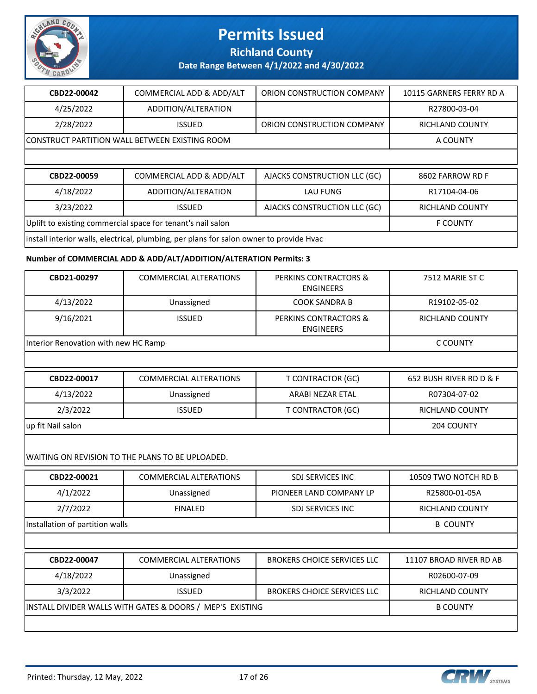

**Richland County**

**Date Range Between 4/1/2022 and 4/30/2022**

| CBD22-00042                                                 | COMMERCIAL ADD & ADD/ALT                                   | ORION CONSTRUCTION COMPANY   | 10115 GARNERS FERRY RD A |  |  |
|-------------------------------------------------------------|------------------------------------------------------------|------------------------------|--------------------------|--|--|
| 4/25/2022                                                   | ADDITION/ALTERATION                                        |                              | R27800-03-04             |  |  |
| 2/28/2022                                                   | <b>ISSUED</b>                                              | ORION CONSTRUCTION COMPANY   | RICHLAND COUNTY          |  |  |
|                                                             | CONSTRUCT PARTITION WALL BETWEEN EXISTING ROOM<br>A COUNTY |                              |                          |  |  |
|                                                             |                                                            |                              |                          |  |  |
| CBD22-00059                                                 | COMMERCIAL ADD & ADD/ALT                                   | AJACKS CONSTRUCTION LLC (GC) | 8602 FARROW RD F         |  |  |
| 4/18/2022                                                   | ADDITION/ALTERATION                                        | <b>LAU FUNG</b>              | R17104-04-06             |  |  |
| 3/23/2022                                                   | <b>ISSUED</b>                                              | AJACKS CONSTRUCTION LLC (GC) | <b>RICHLAND COUNTY</b>   |  |  |
|                                                             |                                                            |                              |                          |  |  |
| Uplift to existing commercial space for tenant's nail salon |                                                            |                              | <b>F COUNTY</b>          |  |  |

### **Number of COMMERCIAL ADD & ADD/ALT/ADDITION/ALTERATION Permits: 3**

| CBD21-00297                          | <b>COMMERCIAL ALTERATIONS</b>                    | PERKINS CONTRACTORS &<br><b>ENGINEERS</b> | 7512 MARIE ST C         |
|--------------------------------------|--------------------------------------------------|-------------------------------------------|-------------------------|
| 4/13/2022                            | Unassigned                                       | <b>COOK SANDRA B</b>                      | R19102-05-02            |
| 9/16/2021                            | <b>ISSUED</b>                                    | PERKINS CONTRACTORS &<br><b>ENGINEERS</b> | <b>RICHLAND COUNTY</b>  |
| Interior Renovation with new HC Ramp |                                                  |                                           | C COUNTY                |
|                                      |                                                  |                                           |                         |
| CBD22-00017                          | <b>COMMERCIAL ALTERATIONS</b>                    | <b>T CONTRACTOR (GC)</b>                  | 652 BUSH RIVER RD D & F |
| 4/13/2022                            | Unassigned                                       | <b>ARABI NEZAR ETAL</b>                   | R07304-07-02            |
| 2/3/2022                             | <b>ISSUED</b>                                    | <b>T CONTRACTOR (GC)</b>                  | <b>RICHLAND COUNTY</b>  |
| up fit Nail salon                    | 204 COUNTY                                       |                                           |                         |
|                                      | WAITING ON REVISION TO THE PLANS TO BE UPLOADED. |                                           |                         |
| CBD22-00021                          | <b>COMMERCIAL ALTERATIONS</b>                    | <b>SDJ SERVICES INC</b>                   | 10509 TWO NOTCH RD B    |
| 4/1/2022                             | Unassigned                                       | PIONEER LAND COMPANY LP                   | R25800-01-05A           |
| 2/7/2022                             | <b>FINALED</b>                                   | SDJ SERVICES INC                          | <b>RICHLAND COUNTY</b>  |
| Installation of partition walls      |                                                  |                                           | <b>B COUNTY</b>         |
|                                      |                                                  |                                           |                         |

| CBD22-00047                                               | COMMERCIAL ALTERATIONS | <b>BROKERS CHOICE SERVICES LLC</b> | 11107 BROAD RIVER RD AB |
|-----------------------------------------------------------|------------------------|------------------------------------|-------------------------|
| 4/18/2022                                                 | Unassigned             |                                    | R02600-07-09            |
| 3/3/2022                                                  | <b>ISSUED</b>          | <b>BROKERS CHOICE SERVICES LLC</b> | RICHLAND COUNTY         |
| INSTALL DIVIDER WALLS WITH GATES & DOORS / MEP'S EXISTING |                        |                                    | <b>B COUNTY</b>         |
|                                                           |                        |                                    |                         |

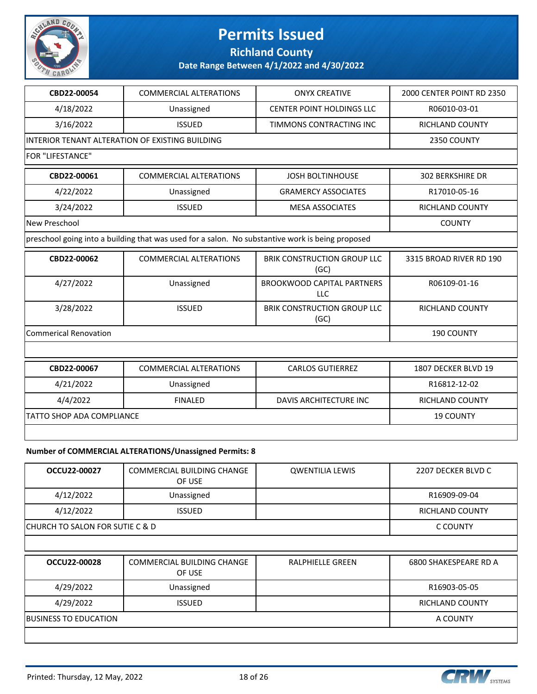

**Richland County**

**Date Range Between 4/1/2022 and 4/30/2022**

| CBD22-00054                  | <b>COMMERCIAL ALTERATIONS</b>                                                                    | <b>ONYX CREATIVE</b>                       | 2000 CENTER POINT RD 2350 |
|------------------------------|--------------------------------------------------------------------------------------------------|--------------------------------------------|---------------------------|
| 4/18/2022                    | Unassigned                                                                                       | CENTER POINT HOLDINGS LLC                  | R06010-03-01              |
| 3/16/2022                    | <b>ISSUED</b>                                                                                    | TIMMONS CONTRACTING INC                    | RICHLAND COUNTY           |
|                              | INTERIOR TENANT ALTERATION OF EXISTING BUILDING                                                  |                                            | 2350 COUNTY               |
| FOR "LIFESTANCE"             |                                                                                                  |                                            |                           |
| CBD22-00061                  | <b>COMMERCIAL ALTERATIONS</b>                                                                    | <b>JOSH BOLTINHOUSE</b>                    | <b>302 BERKSHIRE DR</b>   |
| 4/22/2022                    | Unassigned                                                                                       | <b>GRAMERCY ASSOCIATES</b>                 | R17010-05-16              |
| 3/24/2022                    | <b>ISSUED</b>                                                                                    | <b>MESA ASSOCIATES</b>                     | <b>RICHLAND COUNTY</b>    |
| New Preschool                |                                                                                                  |                                            | <b>COUNTY</b>             |
|                              | preschool going into a building that was used for a salon. No substantive work is being proposed |                                            |                           |
| CBD22-00062                  | <b>COMMERCIAL ALTERATIONS</b>                                                                    | <b>BRIK CONSTRUCTION GROUP LLC</b><br>(GC) | 3315 BROAD RIVER RD 190   |
| 4/27/2022                    | Unassigned                                                                                       | <b>BROOKWOOD CAPITAL PARTNERS</b><br>LLC   | R06109-01-16              |
| 3/28/2022                    | <b>ISSUED</b>                                                                                    | <b>BRIK CONSTRUCTION GROUP LLC</b><br>(GC) | <b>RICHLAND COUNTY</b>    |
| <b>Commerical Renovation</b> |                                                                                                  |                                            | 190 COUNTY                |
|                              |                                                                                                  |                                            |                           |
| CBD22-00067                  | <b>COMMERCIAL ALTERATIONS</b>                                                                    | <b>CARLOS GUTIERREZ</b>                    | 1807 DECKER BLVD 19       |
| 4/21/2022                    | Unassigned                                                                                       |                                            | R16812-12-02              |
| 4/4/2022                     | <b>FINALED</b>                                                                                   | DAVIS ARCHITECTURE INC                     | <b>RICHLAND COUNTY</b>    |
| TATTO SHOP ADA COMPLIANCE    | <b>19 COUNTY</b>                                                                                 |                                            |                           |
|                              |                                                                                                  |                                            |                           |
|                              | Number of COMMERCIAL ALTERATIONS/Unassigned Permits: 8                                           |                                            |                           |
| OCCU22-00027                 | COMMERCIAL BUILDING CHANGE<br>OF USE                                                             | <b>QWENTILIA LEWIS</b>                     | 2207 DECKER BLVD C        |
| 4/12/2022                    | Unassigned                                                                                       |                                            | R16909-09-04              |
| 4/12/2022                    | <b>ISSUED</b>                                                                                    |                                            | <b>RICHLAND COUNTY</b>    |

CHURCH TO SALON FOR SUTIE C & D COUNTY

| <b>OCCU22-00028</b>           | COMMERCIAL BUILDING CHANGE<br>OF USE | RALPHIELLE GREEN | 6800 SHAKESPEARE RD A |
|-------------------------------|--------------------------------------|------------------|-----------------------|
| 4/29/2022                     | Unassigned                           |                  | R16903-05-05          |
| 4/29/2022                     | <b>ISSUED</b>                        |                  | RICHLAND COUNTY       |
| <b>IBUSINESS TO EDUCATION</b> | A COUNTY                             |                  |                       |
|                               |                                      |                  |                       |

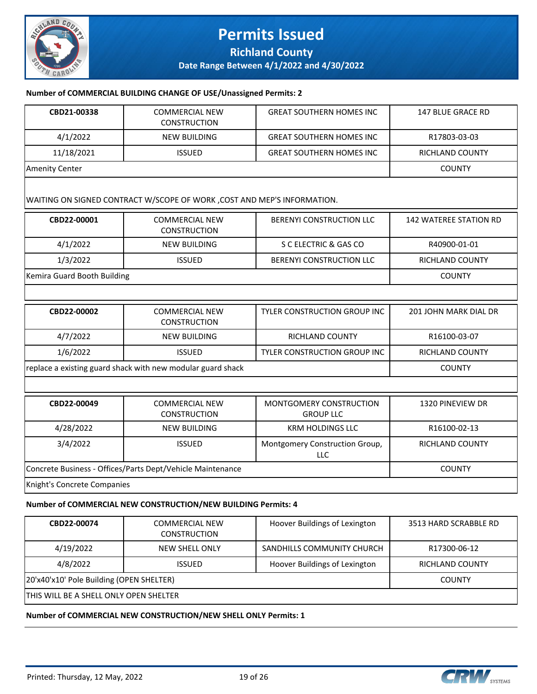

### **Permits Issued Richland County**

**Date Range Between 4/1/2022 and 4/30/2022**

#### **Number of COMMERCIAL BUILDING CHANGE OF USE/Unassigned Permits: 2**

| CBD21-00338                                                   | <b>COMMERCIAL NEW</b><br><b>CONSTRUCTION</b>                            | <b>GREAT SOUTHERN HOMES INC</b>             | <b>147 BLUE GRACE RD</b>      |  |
|---------------------------------------------------------------|-------------------------------------------------------------------------|---------------------------------------------|-------------------------------|--|
| 4/1/2022                                                      | <b>NEW BUILDING</b>                                                     | <b>GREAT SOUTHERN HOMES INC</b>             | R17803-03-03                  |  |
| 11/18/2021                                                    | <b>ISSUED</b>                                                           | <b>GREAT SOUTHERN HOMES INC</b>             | <b>RICHLAND COUNTY</b>        |  |
| <b>Amenity Center</b>                                         |                                                                         |                                             | <b>COUNTY</b>                 |  |
|                                                               | WAITING ON SIGNED CONTRACT W/SCOPE OF WORK, COST AND MEP'S INFORMATION. |                                             |                               |  |
| CBD22-00001                                                   | <b>COMMERCIAL NEW</b><br><b>CONSTRUCTION</b>                            | <b>BERENYI CONSTRUCTION LLC</b>             | <b>142 WATEREE STATION RD</b> |  |
| 4/1/2022                                                      | <b>NEW BUILDING</b>                                                     | S C ELECTRIC & GAS CO                       | R40900-01-01                  |  |
| 1/3/2022                                                      | <b>ISSUED</b>                                                           | BERENYI CONSTRUCTION LLC                    | <b>RICHLAND COUNTY</b>        |  |
| Kemira Guard Booth Building                                   |                                                                         |                                             | <b>COUNTY</b>                 |  |
|                                                               |                                                                         |                                             |                               |  |
| CBD22-00002                                                   | <b>COMMERCIAL NEW</b><br><b>CONSTRUCTION</b>                            | TYLER CONSTRUCTION GROUP INC                | 201 JOHN MARK DIAL DR         |  |
| 4/7/2022                                                      | <b>NEW BUILDING</b>                                                     | <b>RICHLAND COUNTY</b>                      | R16100-03-07                  |  |
| 1/6/2022                                                      | <b>ISSUED</b>                                                           | TYLER CONSTRUCTION GROUP INC                | RICHLAND COUNTY               |  |
| replace a existing guard shack with new modular guard shack   | <b>COUNTY</b>                                                           |                                             |                               |  |
|                                                               |                                                                         |                                             |                               |  |
| CBD22-00049                                                   | <b>COMMERCIAL NEW</b><br><b>CONSTRUCTION</b>                            | MONTGOMERY CONSTRUCTION<br><b>GROUP LLC</b> | 1320 PINEVIEW DR              |  |
| 4/28/2022                                                     | <b>NEW BUILDING</b>                                                     | <b>KRM HOLDINGS LLC</b>                     | R16100-02-13                  |  |
| 3/4/2022                                                      | <b>ISSUED</b>                                                           | Montgomery Construction Group,<br>LLC       | <b>RICHLAND COUNTY</b>        |  |
| Concrete Business - Offices/Parts Dept/Vehicle Maintenance    | <b>COUNTY</b>                                                           |                                             |                               |  |
| Knight's Concrete Companies                                   |                                                                         |                                             |                               |  |
| Number of COMMERCIAL NEW CONSTRUCTION/NEW BUILDING Permits: 4 |                                                                         |                                             |                               |  |
| ----- -----                                                   | 0.01111100001111100111                                                  | $-1$<br>$\sim$ $\sim$                       |                               |  |

| CBD22-00074                              | <b>COMMERCIAL NEW</b><br><b>CONSTRUCTION</b> | Hoover Buildings of Lexington | 3513 HARD SCRABBLE RD  |
|------------------------------------------|----------------------------------------------|-------------------------------|------------------------|
| 4/19/2022                                | NEW SHELL ONLY                               | SANDHILLS COMMUNITY CHURCH    | R17300-06-12           |
| 4/8/2022                                 | <b>ISSUED</b>                                | Hoover Buildings of Lexington | <b>RICHLAND COUNTY</b> |
| 20'x40'x10' Pole Building (OPEN SHELTER) |                                              |                               | <b>COUNTY</b>          |
| THIS WILL BE A SHELL ONLY OPEN SHELTER   |                                              |                               |                        |

**Number of COMMERCIAL NEW CONSTRUCTION/NEW SHELL ONLY Permits: 1**

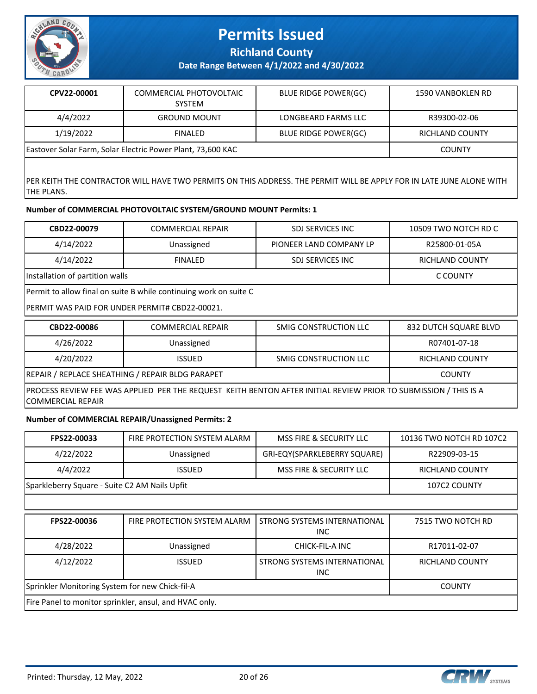

**Richland County**

**Date Range Between 4/1/2022 and 4/30/2022**

| CPV22-00001                                                 | COMMERCIAL PHOTOVOLTAIC<br><b>SYSTEM</b> | <b>BLUE RIDGE POWER(GC)</b> | 1590 VANBOKLEN RD |
|-------------------------------------------------------------|------------------------------------------|-----------------------------|-------------------|
| 4/4/2022                                                    | <b>GROUND MOUNT</b>                      | LONGBEARD FARMS LLC         | R39300-02-06      |
| 1/19/2022                                                   | <b>FINALED</b>                           | <b>BLUE RIDGE POWER(GC)</b> | RICHLAND COUNTY   |
| Eastover Solar Farm, Solar Electric Power Plant, 73,600 KAC |                                          |                             | <b>COUNTY</b>     |

PER KEITH THE CONTRACTOR WILL HAVE TWO PERMITS ON THIS ADDRESS. THE PERMIT WILL BE APPLY FOR IN LATE JUNE ALONE WITH THE PLANS.

#### **Number of COMMERCIAL PHOTOVOLTAIC SYSTEM/GROUND MOUNT Permits: 1**

| CBD22-00079                                                       | <b>COMMERCIAL REPAIR</b> | SDJ SERVICES INC        | 10509 TWO NOTCH RD C |  |
|-------------------------------------------------------------------|--------------------------|-------------------------|----------------------|--|
| 4/14/2022                                                         | Unassigned               | PIONEER LAND COMPANY LP | R25800-01-05A        |  |
| 4/14/2022                                                         | <b>FINALED</b>           | SDJ SERVICES INC        | RICHLAND COUNTY      |  |
| Installation of partition walls                                   |                          |                         | C COUNTY             |  |
| Permit to allow final on suite B while continuing work on suite C |                          |                         |                      |  |
| PERMIT WAS PAID FOR UNDER PERMIT# CBD22-00021.                    |                          |                         |                      |  |

| CBD22-00086                                                                                                                                  | <b>COMMERCIAL REPAIR</b> | SMIG CONSTRUCTION LLC | 832 DUTCH SQUARE BLVD |  |
|----------------------------------------------------------------------------------------------------------------------------------------------|--------------------------|-----------------------|-----------------------|--|
| 4/26/2022                                                                                                                                    | Unassigned               |                       | R07401-07-18          |  |
| 4/20/2022                                                                                                                                    | <b>ISSUED</b>            | SMIG CONSTRUCTION LLC | RICHLAND COUNTY       |  |
| REPAIR / REPLACE SHEATHING / REPAIR BLDG PARAPET                                                                                             | <b>COUNTY</b>            |                       |                       |  |
| PROCESS REVIEW FEE WAS APPLIED PER THE REQUEST KEITH BENTON AFTER INITIAL REVIEW PRIOR TO SUBMISSION / THIS IS A<br><b>COMMERCIAL REPAIR</b> |                          |                       |                       |  |

### **Number of COMMERCIAL REPAIR/Unassigned Permits: 2**

| FPS22-00033                                            | FIRE PROTECTION SYSTEM ALARM | MSS FIRE & SECURITY LLC              | 10136 TWO NOTCH RD 107C2 |
|--------------------------------------------------------|------------------------------|--------------------------------------|--------------------------|
| 4/22/2022                                              | Unassigned                   | GRI-EQY(SPARKLEBERRY SQUARE)         | R22909-03-15             |
| 4/4/2022                                               | <b>ISSUED</b>                | <b>MSS FIRE &amp; SECURITY LLC</b>   | <b>RICHLAND COUNTY</b>   |
| Sparkleberry Square - Suite C2 AM Nails Upfit          |                              |                                      | 107C2 COUNTY             |
|                                                        |                              |                                      |                          |
| FPS22-00036                                            | FIRE PROTECTION SYSTEM ALARM | STRONG SYSTEMS INTERNATIONAL<br>INC. | 7515 TWO NOTCH RD        |
| 4/28/2022                                              | Unassigned                   | CHICK-FIL-A INC                      | R17011-02-07             |
| 4/12/2022                                              | <b>ISSUED</b>                | STRONG SYSTEMS INTERNATIONAL<br>INC. | RICHLAND COUNTY          |
| Sprinkler Monitoring System for new Chick-fil-A        | <b>COUNTY</b>                |                                      |                          |
| Fire Panel to monitor sprinkler, ansul, and HVAC only. |                              |                                      |                          |

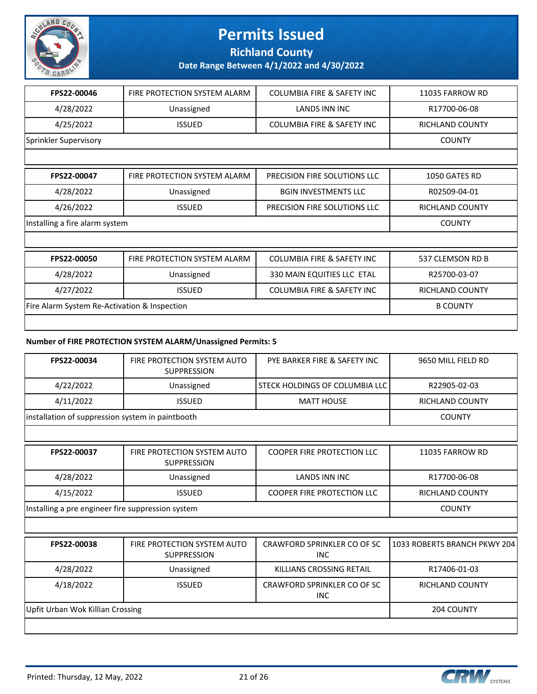

**Richland County**

**Date Range Between 4/1/2022 and 4/30/2022**

| FPS22-00046                                  | FIRE PROTECTION SYSTEM ALARM   | <b>COLUMBIA FIRE &amp; SAFETY INC</b> | 11035 FARROW RD        |  |
|----------------------------------------------|--------------------------------|---------------------------------------|------------------------|--|
| 4/28/2022                                    | Unassigned                     | <b>LANDS INN INC</b>                  | R17700-06-08           |  |
| 4/25/2022                                    | <b>ISSUED</b>                  | <b>COLUMBIA FIRE &amp; SAFETY INC</b> | <b>RICHLAND COUNTY</b> |  |
| Sprinkler Supervisory                        |                                |                                       | <b>COUNTY</b>          |  |
|                                              |                                |                                       |                        |  |
| FPS22-00047                                  | FIRE PROTECTION SYSTEM ALARM   | PRECISION FIRE SOLUTIONS LLC          | 1050 GATES RD          |  |
| 4/28/2022                                    | Unassigned                     | <b>BGIN INVESTMENTS LLC</b>           | R02509-04-01           |  |
| 4/26/2022                                    | <b>ISSUED</b>                  | PRECISION FIRE SOLUTIONS LLC          | <b>RICHLAND COUNTY</b> |  |
|                                              | Installing a fire alarm system |                                       |                        |  |
|                                              |                                |                                       |                        |  |
| FPS22-00050                                  | FIRE PROTECTION SYSTEM ALARM   | <b>COLUMBIA FIRE &amp; SAFETY INC</b> | 537 CLEMSON RD B       |  |
| 4/28/2022                                    | Unassigned                     | 330 MAIN EQUITIES LLC ETAL            | R25700-03-07           |  |
| 4/27/2022                                    | <b>ISSUED</b>                  | <b>COLUMBIA FIRE &amp; SAFETY INC</b> | <b>RICHLAND COUNTY</b> |  |
| Fire Alarm System Re-Activation & Inspection | <b>B COUNTY</b>                |                                       |                        |  |
|                                              |                                |                                       |                        |  |

### **Number of FIRE PROTECTION SYSTEM ALARM/Unassigned Permits: 5**

| FPS22-00034                                       | FIRE PROTECTION SYSTEM AUTO<br><b>SUPPRESSION</b> | PYE BARKER FIRE & SAFETY INC              | 9650 MILL FIELD RD           |
|---------------------------------------------------|---------------------------------------------------|-------------------------------------------|------------------------------|
| 4/22/2022                                         | Unassigned                                        | STECK HOLDINGS OF COLUMBIA LLC            | R22905-02-03                 |
| 4/11/2022                                         | <b>ISSUED</b>                                     | <b>MATT HOUSE</b>                         | <b>RICHLAND COUNTY</b>       |
| installation of suppression system in paintbooth  |                                                   |                                           | <b>COUNTY</b>                |
|                                                   |                                                   |                                           |                              |
| FPS22-00037                                       | FIRE PROTECTION SYSTEM AUTO<br><b>SUPPRESSION</b> | <b>COOPER FIRE PROTECTION LLC</b>         | 11035 FARROW RD              |
| 4/28/2022                                         | Unassigned                                        | <b>LANDS INN INC</b>                      | R17700-06-08                 |
| 4/15/2022                                         | <b>ISSUED</b>                                     | <b>COOPER FIRE PROTECTION LLC</b>         | <b>RICHLAND COUNTY</b>       |
| Installing a pre engineer fire suppression system | <b>COUNTY</b>                                     |                                           |                              |
|                                                   |                                                   |                                           |                              |
| FPS22-00038                                       | FIRE PROTECTION SYSTEM AUTO<br><b>SUPPRESSION</b> | CRAWFORD SPRINKLER CO OF SC<br><b>INC</b> | 1033 ROBERTS BRANCH PKWY 204 |
| 4/28/2022                                         | Unassigned                                        | KILLIANS CROSSING RETAIL                  | R17406-01-03                 |
| 4/18/2022                                         | <b>ISSUED</b>                                     | CRAWFORD SPRINKLER CO OF SC<br><b>INC</b> | <b>RICHLAND COUNTY</b>       |
| Upfit Urban Wok Killian Crossing                  | 204 COUNTY                                        |                                           |                              |
|                                                   |                                                   |                                           |                              |

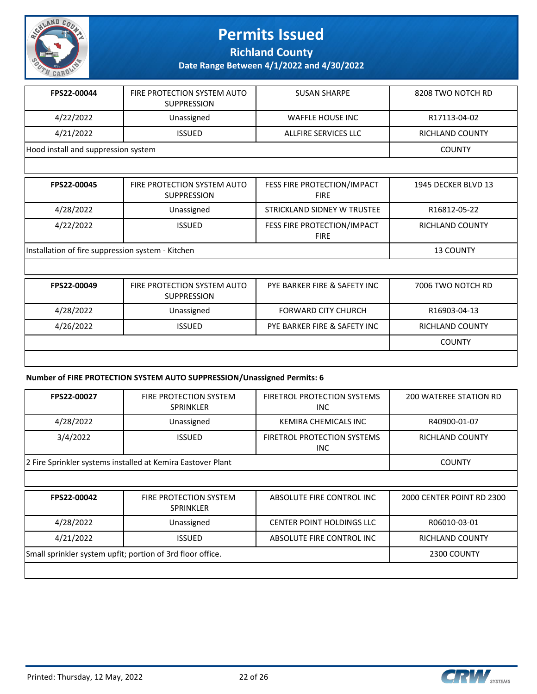

**Richland County**

**Date Range Between 4/1/2022 and 4/30/2022**

| FPS22-00044                         | FIRE PROTECTION SYSTEM AUTO<br><b>SUPPRESSION</b> | <b>SUSAN SHARPE</b>  | 8208 TWO NOTCH RD      |
|-------------------------------------|---------------------------------------------------|----------------------|------------------------|
| 4/22/2022                           | Unassigned                                        | WAFFLE HOUSE INC     | R17113-04-02           |
| 4/21/2022                           | <b>ISSUED</b>                                     | ALLFIRE SERVICES LLC | <b>RICHLAND COUNTY</b> |
| Hood install and suppression system |                                                   |                      | <b>COUNTY</b>          |

| FPS22-00045                                       | FIRE PROTECTION SYSTEM AUTO<br><b>SUPPRESSION</b> | FESS FIRE PROTECTION/IMPACT<br><b>FIRE</b> | 1945 DECKER BLVD 13    |
|---------------------------------------------------|---------------------------------------------------|--------------------------------------------|------------------------|
| 4/28/2022                                         | Unassigned                                        | STRICKLAND SIDNEY W TRUSTEE                | R16812-05-22           |
| 4/22/2022                                         | <b>ISSUED</b>                                     | FESS FIRE PROTECTION/IMPACT<br><b>FIRE</b> | <b>RICHLAND COUNTY</b> |
| Installation of fire suppression system - Kitchen |                                                   |                                            | <b>13 COUNTY</b>       |
|                                                   |                                                   |                                            |                        |
| FPS22-00049                                       | FIRE PROTECTION SYSTEM AUTO<br><b>SUPPRESSION</b> | PYE BARKER FIRE & SAFETY INC               | 7006 TWO NOTCH RD      |
| 4/28/2022                                         | Unassigned                                        | <b>FORWARD CITY CHURCH</b>                 | R16903-04-13           |
| 4/26/2022                                         | <b>ISSUED</b>                                     | PYE BARKER FIRE & SAFETY INC               | <b>RICHLAND COUNTY</b> |
|                                                   |                                                   |                                            | <b>COUNTY</b>          |
|                                                   |                                                   |                                            |                        |

#### **Number of FIRE PROTECTION SYSTEM AUTO SUPPRESSION/Unassigned Permits: 6**

| FPS22-00027                                                | <b>FIRE PROTECTION SYSTEM</b><br><b>SPRINKLER</b>           | <b>FIRETROL PROTECTION SYSTEMS</b><br>INC. | <b>200 WATEREE STATION RD</b> |
|------------------------------------------------------------|-------------------------------------------------------------|--------------------------------------------|-------------------------------|
| 4/28/2022                                                  | Unassigned                                                  | <b>KEMIRA CHEMICALS INC</b>                | R40900-01-07                  |
| 3/4/2022                                                   | <b>ISSUED</b>                                               | <b>FIRETROL PROTECTION SYSTEMS</b><br>INC. | <b>RICHLAND COUNTY</b>        |
|                                                            | 2 Fire Sprinkler systems installed at Kemira Eastover Plant |                                            | <b>COUNTY</b>                 |
|                                                            |                                                             |                                            |                               |
| FPS22-00042                                                | <b>FIRE PROTECTION SYSTEM</b><br><b>SPRINKLER</b>           | ABSOLUTE FIRE CONTROL INC                  | 2000 CENTER POINT RD 2300     |
| 4/28/2022                                                  | Unassigned                                                  | <b>CENTER POINT HOLDINGS LLC</b>           | R06010-03-01                  |
| 4/21/2022                                                  | <b>ISSUED</b>                                               | ABSOLUTE FIRE CONTROL INC                  | RICHLAND COUNTY               |
| Small sprinkler system upfit; portion of 3rd floor office. | 2300 COUNTY                                                 |                                            |                               |
|                                                            |                                                             |                                            |                               |



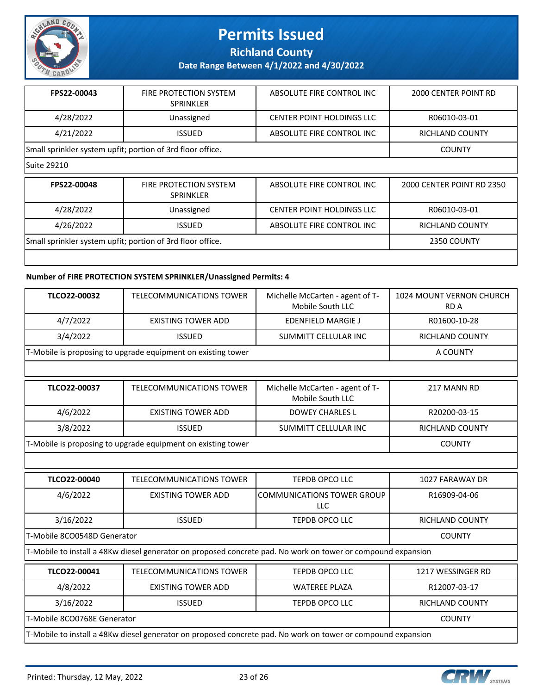

**Richland County**

**Date Range Between 4/1/2022 and 4/30/2022**

| FPS22-00043                                                | <b>FIRE PROTECTION SYSTEM</b><br>SPRINKLER | ABSOLUTE FIRE CONTROL INC | 2000 CENTER POINT RD      |
|------------------------------------------------------------|--------------------------------------------|---------------------------|---------------------------|
| 4/28/2022                                                  | Unassigned                                 | CENTER POINT HOLDINGS LLC | R06010-03-01              |
| 4/21/2022                                                  | <b>ISSUED</b>                              | ABSOLUTE FIRE CONTROL INC | RICHLAND COUNTY           |
| Small sprinkler system upfit; portion of 3rd floor office. |                                            |                           | <b>COUNTY</b>             |
| Suite 29210                                                |                                            |                           |                           |
| FPS22-00048                                                | FIRE PROTECTION SYSTEM                     | ABSOLUTE FIRE CONTROL INC | 2000 CENTER POINT RD 2350 |

| LL 355-00040                                               | TINE FINOTECTION 313TEMI<br><b>SPRINKLER</b> | ADJULUTE TINE CUNTINUE INC. | ZUUU CEIVIEN FUIIVI IND ZJJU |
|------------------------------------------------------------|----------------------------------------------|-----------------------------|------------------------------|
| 4/28/2022                                                  | Unassigned                                   | CENTER POINT HOLDINGS LLC   | R06010-03-01                 |
| 4/26/2022                                                  | ISSUED.                                      | ABSOLUTE FIRE CONTROL INC   | RICHLAND COUNTY              |
| Small sprinkler system upfit; portion of 3rd floor office. |                                              |                             | 2350 COUNTY                  |
|                                                            |                                              |                             |                              |

#### **Number of FIRE PROTECTION SYSTEM SPRINKLER/Unassigned Permits: 4**

| TLCO22-00032                                                                                                 | TELECOMMUNICATIONS TOWER                                     | Michelle McCarten - agent of T-<br>Mobile South LLC | 1024 MOUNT VERNON CHURCH<br><b>RDA</b> |
|--------------------------------------------------------------------------------------------------------------|--------------------------------------------------------------|-----------------------------------------------------|----------------------------------------|
| 4/7/2022                                                                                                     | <b>EXISTING TOWER ADD</b>                                    | <b>EDENFIELD MARGIE J</b>                           | R01600-10-28                           |
| 3/4/2022                                                                                                     | <b>ISSUED</b>                                                | SUMMITT CELLULAR INC                                | <b>RICHLAND COUNTY</b>                 |
|                                                                                                              | T-Mobile is proposing to upgrade equipment on existing tower |                                                     | A COUNTY                               |
|                                                                                                              |                                                              |                                                     |                                        |
| TLCO22-00037                                                                                                 | TELECOMMUNICATIONS TOWER                                     | Michelle McCarten - agent of T-<br>Mobile South LLC | 217 MANN RD                            |
| 4/6/2022                                                                                                     | <b>EXISTING TOWER ADD</b>                                    | <b>DOWEY CHARLES L</b>                              | R20200-03-15                           |
| 3/8/2022                                                                                                     | <b>ISSUED</b>                                                | SUMMITT CELLULAR INC                                | <b>RICHLAND COUNTY</b>                 |
| T-Mobile is proposing to upgrade equipment on existing tower                                                 |                                                              |                                                     | <b>COUNTY</b>                          |
|                                                                                                              |                                                              |                                                     |                                        |
| TLCO22-00040                                                                                                 | <b>TELECOMMUNICATIONS TOWER</b>                              | TEPDB OPCO LLC                                      | 1027 FARAWAY DR                        |
| 4/6/2022                                                                                                     | <b>EXISTING TOWER ADD</b>                                    | <b>COMMUNICATIONS TOWER GROUP</b><br>LLC            | R16909-04-06                           |
| 3/16/2022                                                                                                    | <b>ISSUED</b>                                                | TEPDB OPCO LLC                                      | <b>RICHLAND COUNTY</b>                 |
| T-Mobile 8CO0548D Generator                                                                                  |                                                              |                                                     | <b>COUNTY</b>                          |
| T-Mobile to install a 48Kw diesel generator on proposed concrete pad. No work on tower or compound expansion |                                                              |                                                     |                                        |
| TLCO22-00041                                                                                                 | <b>TELECOMMUNICATIONS TOWER</b>                              | TEPDB OPCO LLC                                      | 1217 WESSINGER RD                      |
| 4/8/2022                                                                                                     | <b>EXISTING TOWER ADD</b>                                    | <b>WATEREE PLAZA</b>                                | R12007-03-17                           |
| 3/16/2022                                                                                                    | <b>ISSUED</b>                                                | TEPDB OPCO LLC                                      | <b>RICHLAND COUNTY</b>                 |
| T-Mobile 8CO0768E Generator                                                                                  |                                                              |                                                     | <b>COUNTY</b>                          |
| T-Mobile to install a 48Kw diesel generator on proposed concrete pad. No work on tower or compound expansion |                                                              |                                                     |                                        |

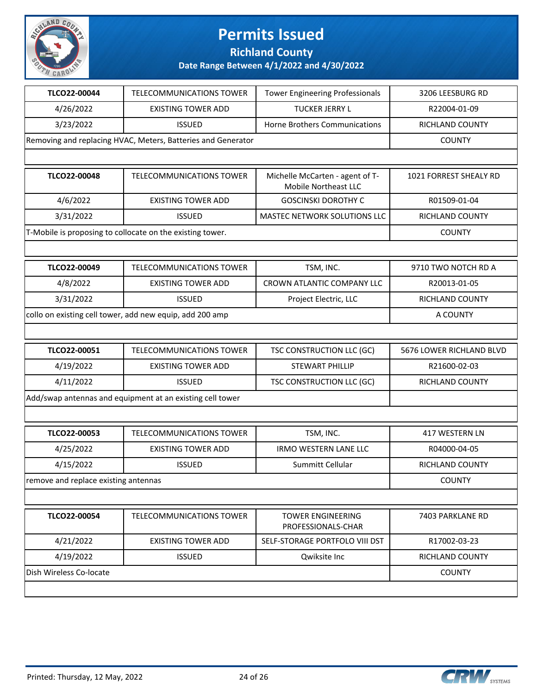

**Richland County**

| TLCO22-00044                                              | <b>TELECOMMUNICATIONS TOWER</b>                              | <b>Tower Engineering Professionals</b>                  | 3206 LEESBURG RD         |
|-----------------------------------------------------------|--------------------------------------------------------------|---------------------------------------------------------|--------------------------|
| 4/26/2022                                                 | <b>EXISTING TOWER ADD</b>                                    | <b>TUCKER JERRY L</b>                                   | R22004-01-09             |
| 3/23/2022                                                 | <b>ISSUED</b>                                                | Horne Brothers Communications                           | RICHLAND COUNTY          |
|                                                           | Removing and replacing HVAC, Meters, Batteries and Generator |                                                         |                          |
|                                                           |                                                              |                                                         |                          |
| TLCO22-00048                                              | <b>TELECOMMUNICATIONS TOWER</b>                              | Michelle McCarten - agent of T-<br>Mobile Northeast LLC | 1021 FORREST SHEALY RD   |
| 4/6/2022                                                  | <b>EXISTING TOWER ADD</b>                                    | <b>GOSCINSKI DOROTHY C</b>                              | R01509-01-04             |
| 3/31/2022                                                 | <b>ISSUED</b>                                                | <b>MASTEC NETWORK SOLUTIONS LLC</b>                     | RICHLAND COUNTY          |
|                                                           | T-Mobile is proposing to collocate on the existing tower.    |                                                         | <b>COUNTY</b>            |
|                                                           |                                                              |                                                         |                          |
| TLCO22-00049                                              | <b>TELECOMMUNICATIONS TOWER</b>                              | TSM, INC.                                               | 9710 TWO NOTCH RD A      |
| 4/8/2022                                                  | <b>EXISTING TOWER ADD</b>                                    | CROWN ATLANTIC COMPANY LLC                              | R20013-01-05             |
| 3/31/2022                                                 | <b>ISSUED</b>                                                | Project Electric, LLC                                   | RICHLAND COUNTY          |
| collo on existing cell tower, add new equip, add 200 amp  |                                                              |                                                         | A COUNTY                 |
|                                                           |                                                              |                                                         |                          |
| TLCO22-00051                                              | <b>TELECOMMUNICATIONS TOWER</b>                              | TSC CONSTRUCTION LLC (GC)                               | 5676 LOWER RICHLAND BLVD |
| 4/19/2022                                                 | <b>EXISTING TOWER ADD</b>                                    | <b>STEWART PHILLIP</b>                                  | R21600-02-03             |
| 4/11/2022                                                 | <b>ISSUED</b>                                                | TSC CONSTRUCTION LLC (GC)                               | RICHLAND COUNTY          |
| Add/swap antennas and equipment at an existing cell tower |                                                              |                                                         |                          |
|                                                           |                                                              |                                                         |                          |
| TLCO22-00053                                              | <b>TELECOMMUNICATIONS TOWER</b>                              | TSM, INC.                                               | 417 WESTERN LN           |
| 4/25/2022                                                 | <b>EXISTING TOWER ADD</b>                                    | <b>IRMO WESTERN LANE LLC</b>                            | R04000-04-05             |
| 4/15/2022                                                 | <b>ISSUED</b>                                                | Summitt Cellular                                        | <b>RICHLAND COUNTY</b>   |
| remove and replace existing antennas                      |                                                              |                                                         |                          |
|                                                           |                                                              |                                                         | <b>COUNTY</b>            |
|                                                           |                                                              |                                                         |                          |
| TLCO22-00054                                              | <b>TELECOMMUNICATIONS TOWER</b>                              | <b>TOWER ENGINEERING</b><br>PROFESSIONALS-CHAR          | 7403 PARKLANE RD         |
| 4/21/2022                                                 | <b>EXISTING TOWER ADD</b>                                    | SELF-STORAGE PORTFOLO VIII DST                          | R17002-03-23             |
| 4/19/2022                                                 | <b>ISSUED</b>                                                | Qwiksite Inc                                            | RICHLAND COUNTY          |
| Dish Wireless Co-locate                                   |                                                              |                                                         | <b>COUNTY</b>            |

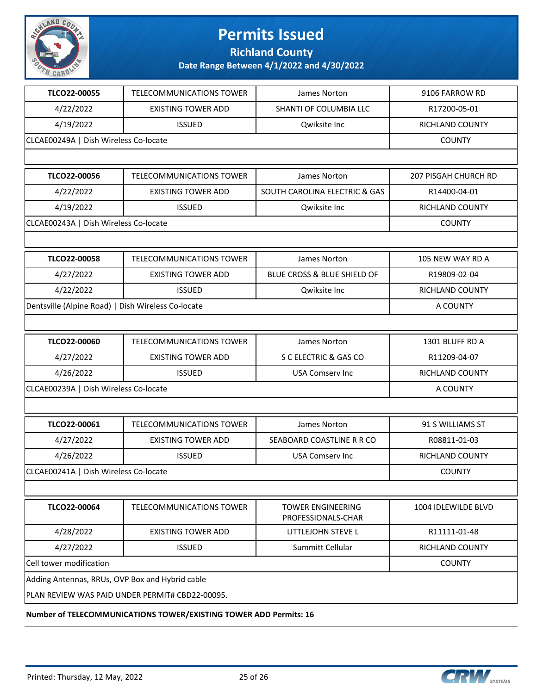

**Richland County**

| TLCO22-00055                                       | TELECOMMUNICATIONS TOWER                                          | James Norton                                   | 9106 FARROW RD              |
|----------------------------------------------------|-------------------------------------------------------------------|------------------------------------------------|-----------------------------|
| 4/22/2022                                          | <b>EXISTING TOWER ADD</b>                                         | SHANTI OF COLUMBIA LLC                         | R17200-05-01                |
| 4/19/2022                                          | <b>ISSUED</b>                                                     | Qwiksite Inc                                   | RICHLAND COUNTY             |
| CLCAE00249A   Dish Wireless Co-locate              | <b>COUNTY</b>                                                     |                                                |                             |
|                                                    |                                                                   |                                                |                             |
| TLCO22-00056                                       | <b>TELECOMMUNICATIONS TOWER</b>                                   | James Norton                                   | <b>207 PISGAH CHURCH RD</b> |
| 4/22/2022                                          | <b>EXISTING TOWER ADD</b>                                         | SOUTH CAROLINA ELECTRIC & GAS                  | R14400-04-01                |
| 4/19/2022                                          | <b>ISSUED</b>                                                     | Qwiksite Inc                                   | RICHLAND COUNTY             |
| CLCAE00243A   Dish Wireless Co-locate              |                                                                   |                                                | <b>COUNTY</b>               |
|                                                    |                                                                   |                                                |                             |
| TLCO22-00058                                       | TELECOMMUNICATIONS TOWER                                          | James Norton                                   | 105 NEW WAY RD A            |
| 4/27/2022                                          | <b>EXISTING TOWER ADD</b>                                         | BLUE CROSS & BLUE SHIELD OF                    | R19809-02-04                |
| 4/22/2022                                          | <b>ISSUED</b>                                                     | Qwiksite Inc                                   | RICHLAND COUNTY             |
| Dentsville (Alpine Road)   Dish Wireless Co-locate |                                                                   |                                                | A COUNTY                    |
|                                                    |                                                                   |                                                |                             |
| TLCO22-00060                                       | TELECOMMUNICATIONS TOWER                                          | James Norton                                   | 1301 BLUFF RD A             |
| 4/27/2022                                          | <b>EXISTING TOWER ADD</b>                                         | S C ELECTRIC & GAS CO                          | R11209-04-07                |
| 4/26/2022                                          | <b>ISSUED</b>                                                     | <b>USA Comserv Inc</b>                         | RICHLAND COUNTY             |
| CLCAE00239A   Dish Wireless Co-locate              |                                                                   |                                                | A COUNTY                    |
|                                                    |                                                                   |                                                |                             |
| TLCO22-00061                                       | TELECOMMUNICATIONS TOWER                                          | James Norton                                   | 91 S WILLIAMS ST            |
| 4/27/2022                                          | <b>EXISTING TOWER ADD</b>                                         | SEABOARD COASTLINE R R CO                      | R08811-01-03                |
| 4/26/2022                                          | <b>ISSUED</b>                                                     | <b>USA Comserv Inc</b>                         | RICHLAND COUNTY             |
| CLCAE00241A   Dish Wireless Co-locate              |                                                                   |                                                | <b>COUNTY</b>               |
|                                                    |                                                                   |                                                |                             |
| TLCO22-00064                                       | <b>TELECOMMUNICATIONS TOWER</b>                                   | <b>TOWER ENGINEERING</b><br>PROFESSIONALS-CHAR | 1004 IDLEWILDE BLVD         |
| 4/28/2022                                          | <b>EXISTING TOWER ADD</b>                                         | LITTLEJOHN STEVE L                             | R11111-01-48                |
| 4/27/2022                                          | <b>ISSUED</b>                                                     | Summitt Cellular                               | RICHLAND COUNTY             |
| Cell tower modification                            |                                                                   |                                                | <b>COUNTY</b>               |
| Adding Antennas, RRUs, OVP Box and Hybrid cable    |                                                                   |                                                |                             |
|                                                    | PLAN REVIEW WAS PAID UNDER PERMIT# CBD22-00095.                   |                                                |                             |
|                                                    | Number of TELECOMMUNICATIONS TOWER/EXISTING TOWER ADD Permits: 16 |                                                |                             |